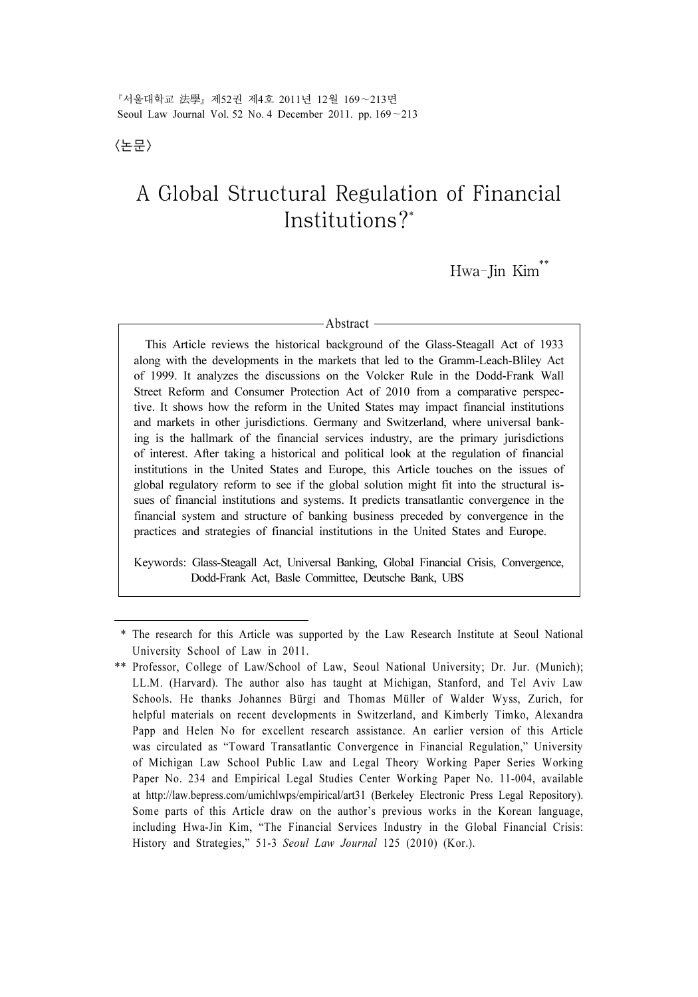『서울대학교 法學』제52권 제4호 2011년 12월 169∼213면 Seoul Law Journal Vol. 52 No. 4 December 2011. pp. 169∼213

<논문>

# A Global Structural Regulation of Financial Institutions?\*

Hwa-Jin Kim\*\*

#### - Abstract -

 This Article reviews the historical background of the Glass-Steagall Act of 1933 along with the developments in the markets that led to the Gramm-Leach-Bliley Act of 1999. It analyzes the discussions on the Volcker Rule in the Dodd-Frank Wall Street Reform and Consumer Protection Act of 2010 from a comparative perspective. It shows how the reform in the United States may impact financial institutions and markets in other jurisdictions. Germany and Switzerland, where universal banking is the hallmark of the financial services industry, are the primary jurisdictions of interest. After taking a historical and political look at the regulation of financial institutions in the United States and Europe, this Article touches on the issues of global regulatory reform to see if the global solution might fit into the structural issues of financial institutions and systems. It predicts transatlantic convergence in the financial system and structure of banking business preceded by convergence in the practices and strategies of financial institutions in the United States and Europe.

Keywords: Glass-Steagall Act, Universal Banking, Global Financial Crisis, Convergence, Dodd-Frank Act, Basle Committee, Deutsche Bank, UBS

 <sup>\*</sup> The research for this Article was supported by the Law Research Institute at Seoul National University School of Law in 2011.

<sup>\*\*</sup> Professor, College of Law/School of Law, Seoul National University; Dr. Jur. (Munich); LL.M. (Harvard). The author also has taught at Michigan, Stanford, and Tel Aviv Law Schools. He thanks Johannes Bürgi and Thomas Müller of Walder Wyss, Zurich, for helpful materials on recent developments in Switzerland, and Kimberly Timko, Alexandra Papp and Helen No for excellent research assistance. An earlier version of this Article was circulated as "Toward Transatlantic Convergence in Financial Regulation," University of Michigan Law School Public Law and Legal Theory Working Paper Series Working Paper No. 234 and Empirical Legal Studies Center Working Paper No. 11-004, available at http://law.bepress.com/umichlwps/empirical/art31 (Berkeley Electronic Press Legal Repository). Some parts of this Article draw on the author's previous works in the Korean language, including Hwa-Jin Kim, "The Financial Services Industry in the Global Financial Crisis: History and Strategies," 51-3 Seoul Law Journal 125 (2010) (Kor.).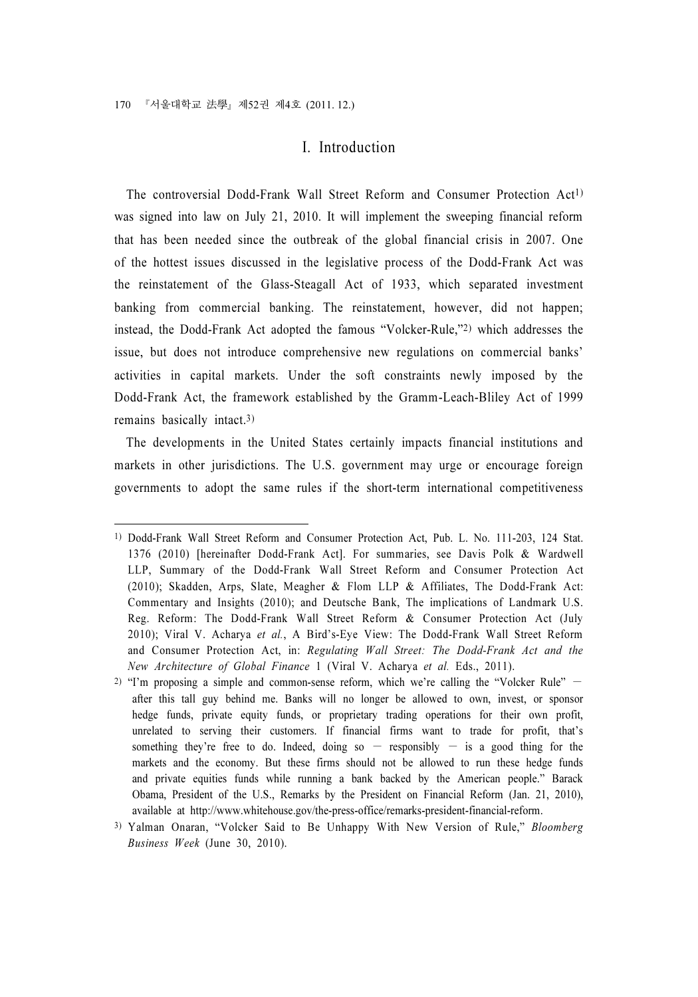# I. Introduction

The controversial Dodd-Frank Wall Street Reform and Consumer Protection Act<sup>1)</sup> was signed into law on July 21, 2010. It will implement the sweeping financial reform that has been needed since the outbreak of the global financial crisis in 2007. One of the hottest issues discussed in the legislative process of the Dodd-Frank Act was the reinstatement of the Glass-Steagall Act of 1933, which separated investment banking from commercial banking. The reinstatement, however, did not happen; instead, the Dodd-Frank Act adopted the famous "Volcker-Rule,"2) which addresses the issue, but does not introduce comprehensive new regulations on commercial banks' activities in capital markets. Under the soft constraints newly imposed by the Dodd-Frank Act, the framework established by the Gramm-Leach-Bliley Act of 1999 remains basically intact.3)

The developments in the United States certainly impacts financial institutions and markets in other jurisdictions. The U.S. government may urge or encourage foreign governments to adopt the same rules if the short-term international competitiveness

<sup>1)</sup> Dodd-Frank Wall Street Reform and Consumer Protection Act, Pub. L. No. 111-203, 124 Stat. 1376 (2010) [hereinafter Dodd-Frank Act]. For summaries, see Davis Polk & Wardwell LLP, Summary of the Dodd-Frank Wall Street Reform and Consumer Protection Act (2010); Skadden, Arps, Slate, Meagher & Flom LLP & Affiliates, The Dodd-Frank Act: Commentary and Insights (2010); and Deutsche Bank, The implications of Landmark U.S. Reg. Reform: The Dodd-Frank Wall Street Reform & Consumer Protection Act (July 2010); Viral V. Acharya et al., A Bird's-Eye View: The Dodd-Frank Wall Street Reform and Consumer Protection Act, in: Regulating Wall Street: The Dodd-Frank Act and the New Architecture of Global Finance 1 (Viral V. Acharya et al. Eds., 2011).

<sup>2)</sup> "I'm proposing a simple and common-sense reform, which we're calling the "Volcker Rule" − after this tall guy behind me. Banks will no longer be allowed to own, invest, or sponsor hedge funds, private equity funds, or proprietary trading operations for their own profit, unrelated to serving their customers. If financial firms want to trade for profit, that's something they're free to do. Indeed, doing so  $-$  responsibly  $-$  is a good thing for the markets and the economy. But these firms should not be allowed to run these hedge funds and private equities funds while running a bank backed by the American people." Barack Obama, President of the U.S., Remarks by the President on Financial Reform (Jan. 21, 2010), available at http://www.whitehouse.gov/the-press-office/remarks-president-financial-reform.

<sup>3)</sup> Yalman Onaran, "Volcker Said to Be Unhappy With New Version of Rule," Bloomberg Business Week (June 30, 2010).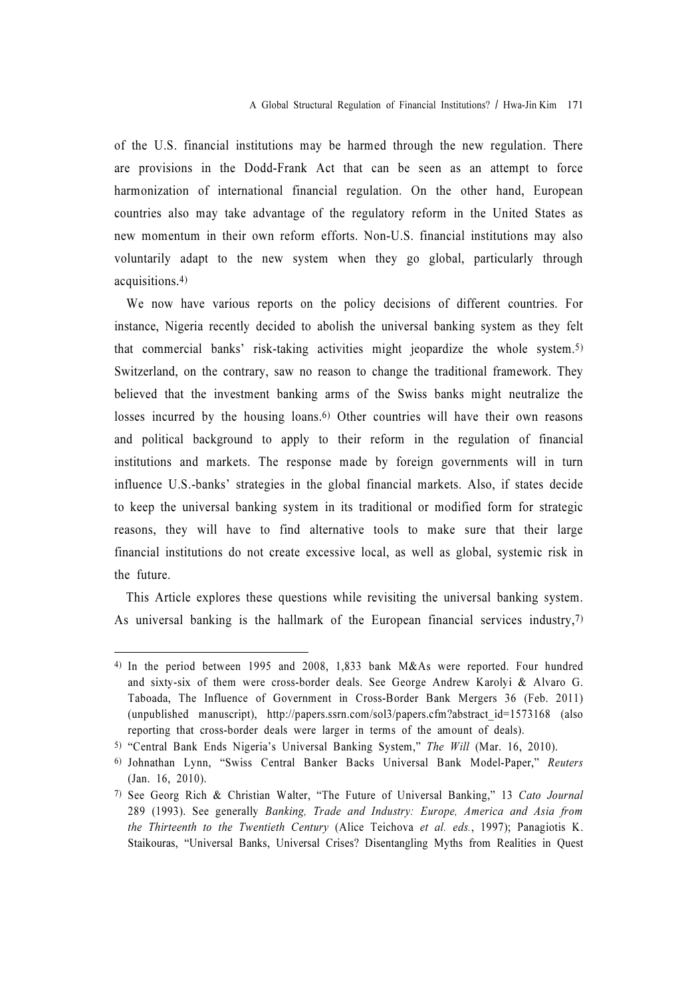of the U.S. financial institutions may be harmed through the new regulation. There are provisions in the Dodd-Frank Act that can be seen as an attempt to force harmonization of international financial regulation. On the other hand, European countries also may take advantage of the regulatory reform in the United States as new momentum in their own reform efforts. Non-U.S. financial institutions may also voluntarily adapt to the new system when they go global, particularly through acquisitions.4)

We now have various reports on the policy decisions of different countries. For instance, Nigeria recently decided to abolish the universal banking system as they felt that commercial banks' risk-taking activities might jeopardize the whole system.5) Switzerland, on the contrary, saw no reason to change the traditional framework. They believed that the investment banking arms of the Swiss banks might neutralize the losses incurred by the housing loans.6) Other countries will have their own reasons and political background to apply to their reform in the regulation of financial institutions and markets. The response made by foreign governments will in turn influence U.S.-banks' strategies in the global financial markets. Also, if states decide to keep the universal banking system in its traditional or modified form for strategic reasons, they will have to find alternative tools to make sure that their large financial institutions do not create excessive local, as well as global, systemic risk in the future.

This Article explores these questions while revisiting the universal banking system. As universal banking is the hallmark of the European financial services industry,7)

<sup>4)</sup> In the period between 1995 and 2008, 1,833 bank M&As were reported. Four hundred and sixty-six of them were cross-border deals. See George Andrew Karolyi & Alvaro G. Taboada, The Influence of Government in Cross-Border Bank Mergers 36 (Feb. 2011) (unpublished manuscript), http://papers.ssrn.com/sol3/papers.cfm?abstract\_id=1573168 (also reporting that cross-border deals were larger in terms of the amount of deals).

<sup>5)</sup> "Central Bank Ends Nigeria's Universal Banking System," The Will (Mar. 16, 2010).

<sup>6)</sup> Johnathan Lynn, "Swiss Central Banker Backs Universal Bank Model-Paper," Reuters (Jan. 16, 2010).

<sup>7)</sup> See Georg Rich & Christian Walter, "The Future of Universal Banking," 13 Cato Journal 289 (1993). See generally Banking, Trade and Industry: Europe, America and Asia from the Thirteenth to the Twentieth Century (Alice Teichova et al. eds., 1997); Panagiotis K. Staikouras, "Universal Banks, Universal Crises? Disentangling Myths from Realities in Quest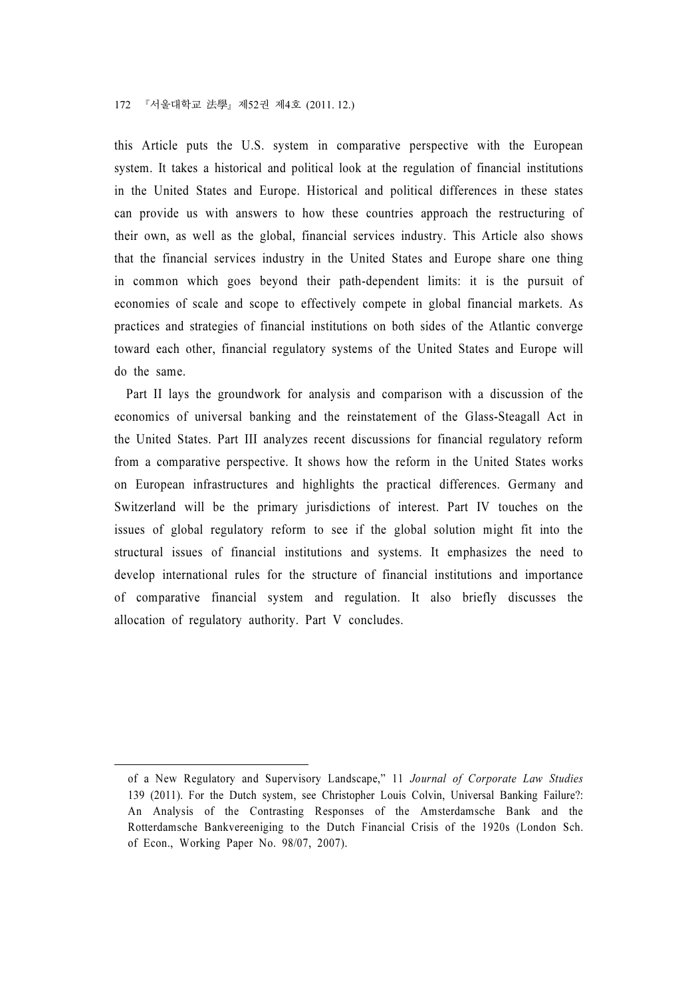this Article puts the U.S. system in comparative perspective with the European system. It takes a historical and political look at the regulation of financial institutions in the United States and Europe. Historical and political differences in these states can provide us with answers to how these countries approach the restructuring of their own, as well as the global, financial services industry. This Article also shows that the financial services industry in the United States and Europe share one thing in common which goes beyond their path-dependent limits: it is the pursuit of economies of scale and scope to effectively compete in global financial markets. As practices and strategies of financial institutions on both sides of the Atlantic converge toward each other, financial regulatory systems of the United States and Europe will do the same.

Part II lays the groundwork for analysis and comparison with a discussion of the economics of universal banking and the reinstatement of the Glass-Steagall Act in the United States. Part III analyzes recent discussions for financial regulatory reform from a comparative perspective. It shows how the reform in the United States works on European infrastructures and highlights the practical differences. Germany and Switzerland will be the primary jurisdictions of interest. Part IV touches on the issues of global regulatory reform to see if the global solution might fit into the structural issues of financial institutions and systems. It emphasizes the need to develop international rules for the structure of financial institutions and importance of comparative financial system and regulation. It also briefly discusses the allocation of regulatory authority. Part V concludes.

of a New Regulatory and Supervisory Landscape," 11 Journal of Corporate Law Studies 139 (2011). For the Dutch system, see Christopher Louis Colvin, Universal Banking Failure?: An Analysis of the Contrasting Responses of the Amsterdamsche Bank and the Rotterdamsche Bankvereeniging to the Dutch Financial Crisis of the 1920s (London Sch. of Econ., Working Paper No. 98/07, 2007).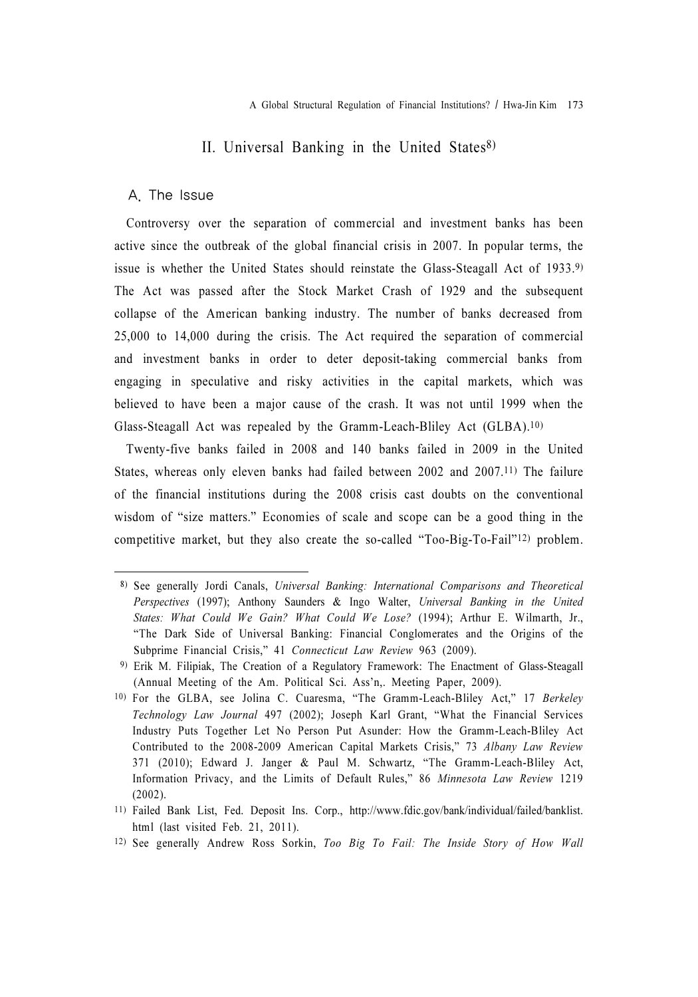# II. Universal Banking in the United States<sup>8)</sup>

#### A. The Issue

Controversy over the separation of commercial and investment banks has been active since the outbreak of the global financial crisis in 2007. In popular terms, the issue is whether the United States should reinstate the Glass-Steagall Act of 1933.9) The Act was passed after the Stock Market Crash of 1929 and the subsequent collapse of the American banking industry. The number of banks decreased from 25,000 to 14,000 during the crisis. The Act required the separation of commercial and investment banks in order to deter deposit-taking commercial banks from engaging in speculative and risky activities in the capital markets, which was believed to have been a major cause of the crash. It was not until 1999 when the Glass-Steagall Act was repealed by the Gramm-Leach-Bliley Act (GLBA).10)

Twenty-five banks failed in 2008 and 140 banks failed in 2009 in the United States, whereas only eleven banks had failed between 2002 and 2007.11) The failure of the financial institutions during the 2008 crisis cast doubts on the conventional wisdom of "size matters." Economies of scale and scope can be a good thing in the competitive market, but they also create the so-called "Too-Big-To-Fail"12) problem.

<sup>8)</sup> See generally Jordi Canals, Universal Banking: International Comparisons and Theoretical Perspectives (1997); Anthony Saunders & Ingo Walter, Universal Banking in the United States: What Could We Gain? What Could We Lose? (1994); Arthur E. Wilmarth, Jr., "The Dark Side of Universal Banking: Financial Conglomerates and the Origins of the Subprime Financial Crisis," 41 Connecticut Law Review 963 (2009).

<sup>9)</sup> Erik M. Filipiak, The Creation of a Regulatory Framework: The Enactment of Glass-Steagall (Annual Meeting of the Am. Political Sci. Ass'n,. Meeting Paper, 2009).

<sup>10)</sup> For the GLBA, see Jolina C. Cuaresma, "The Gramm-Leach-Bliley Act," 17 Berkeley Technology Law Journal 497 (2002); Joseph Karl Grant, "What the Financial Services Industry Puts Together Let No Person Put Asunder: How the Gramm-Leach-Bliley Act Contributed to the 2008-2009 American Capital Markets Crisis," 73 Albany Law Review 371 (2010); Edward J. Janger & Paul M. Schwartz, "The Gramm-Leach-Bliley Act, Information Privacy, and the Limits of Default Rules," 86 Minnesota Law Review 1219 (2002).

<sup>11)</sup> Failed Bank List, Fed. Deposit Ins. Corp., http://www.fdic.gov/bank/individual/failed/banklist. html (last visited Feb. 21, 2011).

<sup>12)</sup> See generally Andrew Ross Sorkin, Too Big To Fail: The Inside Story of How Wall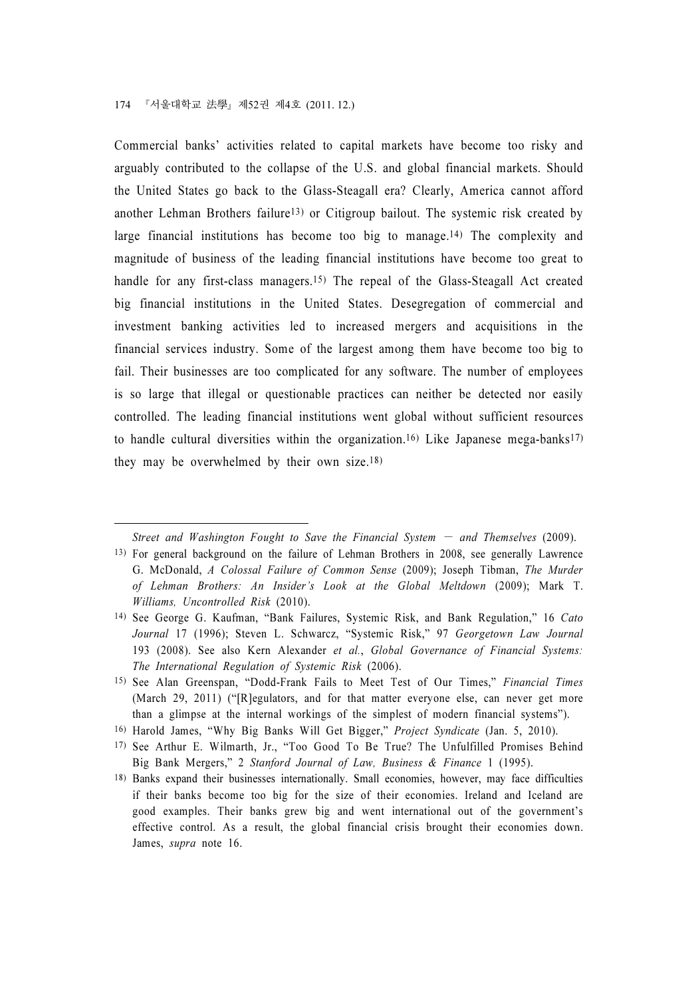Commercial banks' activities related to capital markets have become too risky and arguably contributed to the collapse of the U.S. and global financial markets. Should the United States go back to the Glass-Steagall era? Clearly, America cannot afford another Lehman Brothers failure<sup>13</sup>) or Citigroup bailout. The systemic risk created by large financial institutions has become too big to manage.<sup>14)</sup> The complexity and magnitude of business of the leading financial institutions have become too great to handle for any first-class managers.<sup>15)</sup> The repeal of the Glass-Steagall Act created big financial institutions in the United States. Desegregation of commercial and investment banking activities led to increased mergers and acquisitions in the financial services industry. Some of the largest among them have become too big to fail. Their businesses are too complicated for any software. The number of employees is so large that illegal or questionable practices can neither be detected nor easily controlled. The leading financial institutions went global without sufficient resources to handle cultural diversities within the organization.<sup>16)</sup> Like Japanese mega-banks<sup>17)</sup> they may be overwhelmed by their own size.18)

16) Harold James, "Why Big Banks Will Get Bigger," Project Syndicate (Jan. 5, 2010).

Street and Washington Fought to Save the Financial System  $-$  and Themselves (2009). 13) For general background on the failure of Lehman Brothers in 2008, see generally Lawrence G. McDonald, A Colossal Failure of Common Sense (2009); Joseph Tibman, The Murder of Lehman Brothers: An Insider's Look at the Global Meltdown (2009); Mark T. Williams, Uncontrolled Risk (2010).

<sup>14)</sup> See George G. Kaufman, "Bank Failures, Systemic Risk, and Bank Regulation," 16 Cato Journal 17 (1996); Steven L. Schwarcz, "Systemic Risk," 97 Georgetown Law Journal 193 (2008). See also Kern Alexander et al., Global Governance of Financial Systems: The International Regulation of Systemic Risk (2006).

<sup>15)</sup> See Alan Greenspan, "Dodd-Frank Fails to Meet Test of Our Times," Financial Times (March 29, 2011) ("[R]egulators, and for that matter everyone else, can never get more than a glimpse at the internal workings of the simplest of modern financial systems").

<sup>17)</sup> See Arthur E. Wilmarth, Jr., "Too Good To Be True? The Unfulfilled Promises Behind Big Bank Mergers," 2 Stanford Journal of Law, Business & Finance 1 (1995).

<sup>18)</sup> Banks expand their businesses internationally. Small economies, however, may face difficulties if their banks become too big for the size of their economies. Ireland and Iceland are good examples. Their banks grew big and went international out of the government's effective control. As a result, the global financial crisis brought their economies down. James, supra note 16.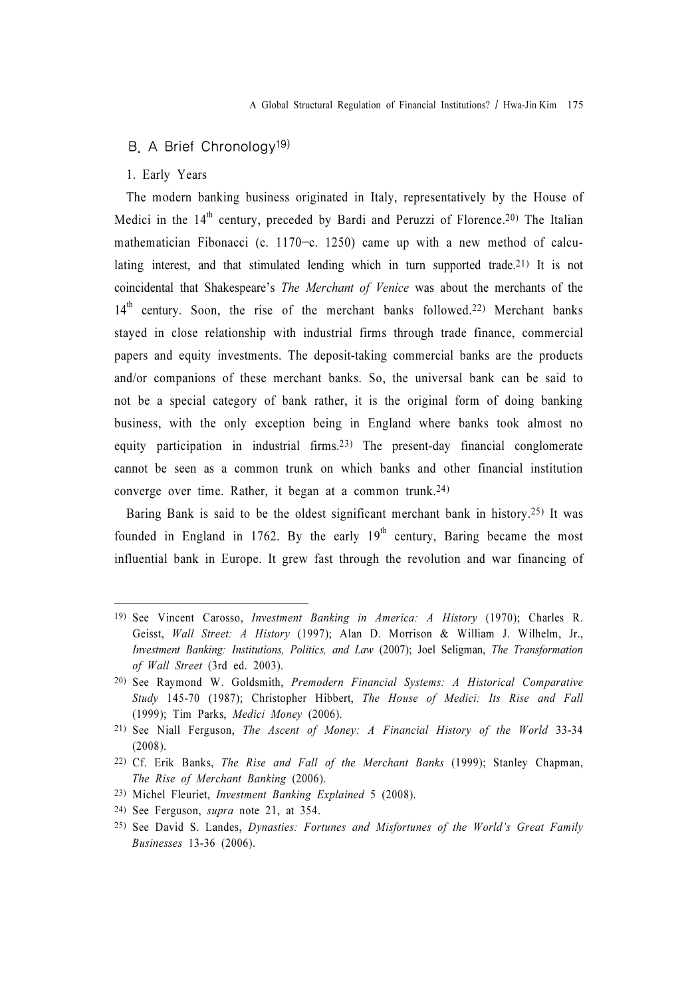#### B. A Brief Chronology<sup>19)</sup>

#### 1. Early Years

The modern banking business originated in Italy, representatively by the House of Medici in the  $14<sup>th</sup>$  century, preceded by Bardi and Peruzzi of Florence.<sup>20)</sup> The Italian mathematician Fibonacci (c. 1170−c. 1250) came up with a new method of calculating interest, and that stimulated lending which in turn supported trade.21) It is not coincidental that Shakespeare's The Merchant of Venice was about the merchants of the 14<sup>th</sup> century. Soon, the rise of the merchant banks followed.<sup>22)</sup> Merchant banks stayed in close relationship with industrial firms through trade finance, commercial papers and equity investments. The deposit-taking commercial banks are the products and/or companions of these merchant banks. So, the universal bank can be said to not be a special category of bank rather, it is the original form of doing banking business, with the only exception being in England where banks took almost no equity participation in industrial firms.23) The present-day financial conglomerate cannot be seen as a common trunk on which banks and other financial institution converge over time. Rather, it began at a common trunk.24)

Baring Bank is said to be the oldest significant merchant bank in history.25) It was founded in England in 1762. By the early  $19<sup>th</sup>$  century, Baring became the most influential bank in Europe. It grew fast through the revolution and war financing of

- 23) Michel Fleuriet, Investment Banking Explained 5 (2008).
- 24) See Ferguson, supra note 21, at 354.
- 25) See David S. Landes, Dynasties: Fortunes and Misfortunes of the World's Great Family Businesses 13-36 (2006).

<sup>19)</sup> See Vincent Carosso, Investment Banking in America: A History (1970); Charles R. Geisst, Wall Street: A History (1997); Alan D. Morrison & William J. Wilhelm, Jr., Investment Banking: Institutions, Politics, and Law (2007); Joel Seligman, The Transformation of Wall Street (3rd ed. 2003).

<sup>20)</sup> See Raymond W. Goldsmith, Premodern Financial Systems: A Historical Comparative Study 145-70 (1987); Christopher Hibbert, The House of Medici: Its Rise and Fall (1999); Tim Parks, Medici Money (2006).

<sup>21)</sup> See Niall Ferguson, The Ascent of Money: A Financial History of the World 33-34 (2008).

<sup>22)</sup> Cf. Erik Banks, The Rise and Fall of the Merchant Banks (1999); Stanley Chapman, The Rise of Merchant Banking (2006).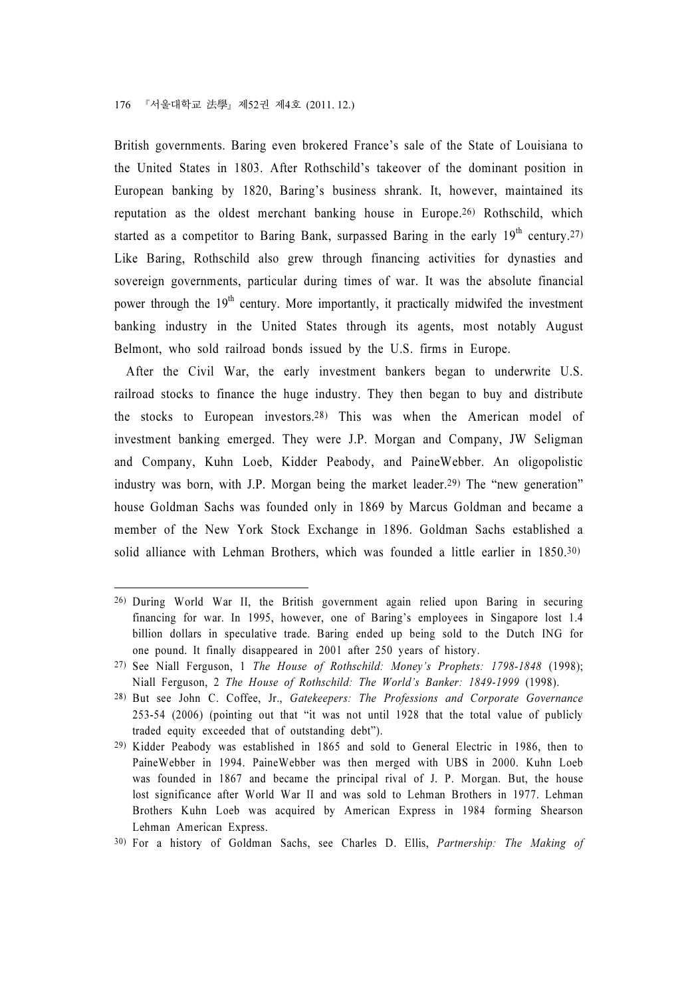British governments. Baring even brokered France's sale of the State of Louisiana to the United States in 1803. After Rothschild's takeover of the dominant position in European banking by 1820, Baring's business shrank. It, however, maintained its reputation as the oldest merchant banking house in Europe.26) Rothschild, which started as a competitor to Baring Bank, surpassed Baring in the early  $19^{th}$  century.<sup>27)</sup> Like Baring, Rothschild also grew through financing activities for dynasties and sovereign governments, particular during times of war. It was the absolute financial power through the  $19<sup>th</sup>$  century. More importantly, it practically midwifed the investment banking industry in the United States through its agents, most notably August Belmont, who sold railroad bonds issued by the U.S. firms in Europe.

After the Civil War, the early investment bankers began to underwrite U.S. railroad stocks to finance the huge industry. They then began to buy and distribute the stocks to European investors.28) This was when the American model of investment banking emerged. They were J.P. Morgan and Company, JW Seligman and Company, Kuhn Loeb, Kidder Peabody, and PaineWebber. An oligopolistic industry was born, with J.P. Morgan being the market leader.29) The "new generation" house Goldman Sachs was founded only in 1869 by Marcus Goldman and became a member of the New York Stock Exchange in 1896. Goldman Sachs established a solid alliance with Lehman Brothers, which was founded a little earlier in 1850.30)

<sup>26)</sup> During World War II, the British government again relied upon Baring in securing financing for war. In 1995, however, one of Baring's employees in Singapore lost 1.4 billion dollars in speculative trade. Baring ended up being sold to the Dutch ING for one pound. It finally disappeared in 2001 after 250 years of history.

<sup>27)</sup> See Niall Ferguson, 1 The House of Rothschild: Money's Prophets: 1798-1848 (1998); Niall Ferguson, 2 The House of Rothschild: The World's Banker: 1849-1999 (1998).

<sup>28)</sup> But see John C. Coffee, Jr., Gatekeepers: The Professions and Corporate Governance 253-54 (2006) (pointing out that "it was not until 1928 that the total value of publicly traded equity exceeded that of outstanding debt").

<sup>29)</sup> Kidder Peabody was established in 1865 and sold to General Electric in 1986, then to PaineWebber in 1994. PaineWebber was then merged with UBS in 2000. Kuhn Loeb was founded in 1867 and became the principal rival of J. P. Morgan. But, the house lost significance after World War II and was sold to Lehman Brothers in 1977. Lehman Brothers Kuhn Loeb was acquired by American Express in 1984 forming Shearson Lehman American Express.

<sup>30)</sup> For a history of Goldman Sachs, see Charles D. Ellis, Partnership: The Making of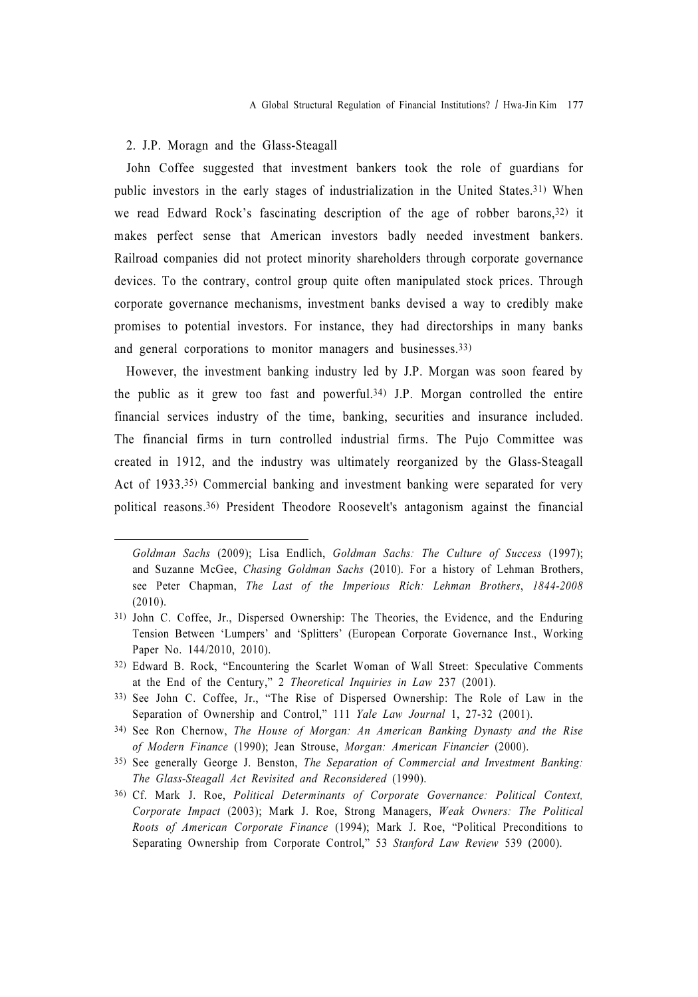#### 2. J.P. Moragn and the Glass-Steagall

John Coffee suggested that investment bankers took the role of guardians for public investors in the early stages of industrialization in the United States.31) When we read Edward Rock's fascinating description of the age of robber barons,32) it makes perfect sense that American investors badly needed investment bankers. Railroad companies did not protect minority shareholders through corporate governance devices. To the contrary, control group quite often manipulated stock prices. Through corporate governance mechanisms, investment banks devised a way to credibly make promises to potential investors. For instance, they had directorships in many banks and general corporations to monitor managers and businesses.33)

However, the investment banking industry led by J.P. Morgan was soon feared by the public as it grew too fast and powerful.34) J.P. Morgan controlled the entire financial services industry of the time, banking, securities and insurance included. The financial firms in turn controlled industrial firms. The Pujo Committee was created in 1912, and the industry was ultimately reorganized by the Glass-Steagall Act of 1933.35) Commercial banking and investment banking were separated for very political reasons.36) President Theodore Roosevelt's antagonism against the financial

- 35) See generally George J. Benston, The Separation of Commercial and Investment Banking: The Glass-Steagall Act Revisited and Reconsidered (1990).
- 36) Cf. Mark J. Roe, Political Determinants of Corporate Governance: Political Context, Corporate Impact (2003); Mark J. Roe, Strong Managers, Weak Owners: The Political Roots of American Corporate Finance (1994); Mark J. Roe, "Political Preconditions to Separating Ownership from Corporate Control," 53 Stanford Law Review 539 (2000).

Goldman Sachs (2009); Lisa Endlich, Goldman Sachs: The Culture of Success (1997); and Suzanne McGee, Chasing Goldman Sachs (2010). For a history of Lehman Brothers, see Peter Chapman, The Last of the Imperious Rich: Lehman Brothers, 1844-2008 (2010).

<sup>31)</sup> John C. Coffee, Jr., Dispersed Ownership: The Theories, the Evidence, and the Enduring Tension Between 'Lumpers' and 'Splitters' (European Corporate Governance Inst., Working Paper No. 144/2010, 2010).

<sup>32)</sup> Edward B. Rock, "Encountering the Scarlet Woman of Wall Street: Speculative Comments at the End of the Century," 2 Theoretical Inquiries in Law 237 (2001).

<sup>33)</sup> See John C. Coffee, Jr., "The Rise of Dispersed Ownership: The Role of Law in the Separation of Ownership and Control," 111 Yale Law Journal 1, 27-32 (2001).

<sup>34)</sup> See Ron Chernow, The House of Morgan: An American Banking Dynasty and the Rise of Modern Finance (1990); Jean Strouse, Morgan: American Financier (2000).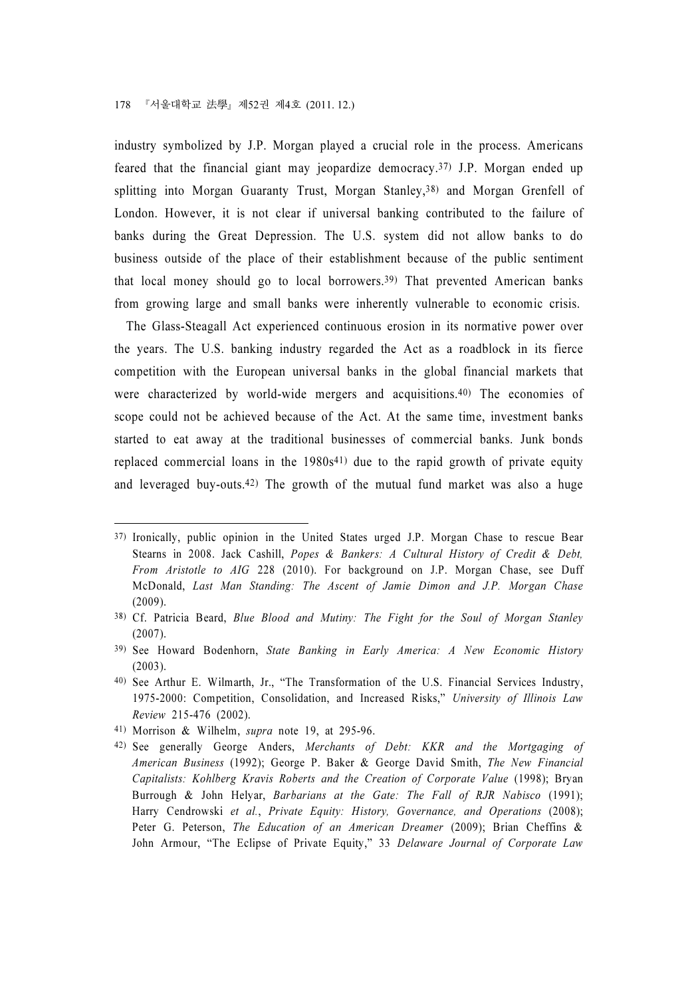industry symbolized by J.P. Morgan played a crucial role in the process. Americans feared that the financial giant may jeopardize democracy.37) J.P. Morgan ended up splitting into Morgan Guaranty Trust, Morgan Stanley,38) and Morgan Grenfell of London. However, it is not clear if universal banking contributed to the failure of banks during the Great Depression. The U.S. system did not allow banks to do business outside of the place of their establishment because of the public sentiment that local money should go to local borrowers.39) That prevented American banks from growing large and small banks were inherently vulnerable to economic crisis.

The Glass-Steagall Act experienced continuous erosion in its normative power over the years. The U.S. banking industry regarded the Act as a roadblock in its fierce competition with the European universal banks in the global financial markets that were characterized by world-wide mergers and acquisitions.<sup>40</sup>) The economies of scope could not be achieved because of the Act. At the same time, investment banks started to eat away at the traditional businesses of commercial banks. Junk bonds replaced commercial loans in the  $1980s<sup>41</sup>$  due to the rapid growth of private equity and leveraged buy-outs.42) The growth of the mutual fund market was also a huge

41) Morrison & Wilhelm, supra note 19, at 295-96.

<sup>37)</sup> Ironically, public opinion in the United States urged J.P. Morgan Chase to rescue Bear Stearns in 2008. Jack Cashill, Popes & Bankers: A Cultural History of Credit & Debt, From Aristotle to AIG 228 (2010). For background on J.P. Morgan Chase, see Duff McDonald, Last Man Standing: The Ascent of Jamie Dimon and J.P. Morgan Chase (2009).

<sup>38)</sup> Cf. Patricia Beard, Blue Blood and Mutiny: The Fight for the Soul of Morgan Stanley (2007).

<sup>39)</sup> See Howard Bodenhorn, State Banking in Early America: A New Economic History (2003).

<sup>40)</sup> See Arthur E. Wilmarth, Jr., "The Transformation of the U.S. Financial Services Industry, 1975-2000: Competition, Consolidation, and Increased Risks," University of Illinois Law Review 215-476 (2002).

<sup>42)</sup> See generally George Anders, Merchants of Debt: KKR and the Mortgaging of American Business (1992); George P. Baker & George David Smith, The New Financial Capitalists: Kohlberg Kravis Roberts and the Creation of Corporate Value (1998); Bryan Burrough & John Helyar, Barbarians at the Gate: The Fall of RJR Nabisco (1991); Harry Cendrowski et al., Private Equity: History, Governance, and Operations (2008); Peter G. Peterson, The Education of an American Dreamer (2009); Brian Cheffins & John Armour, "The Eclipse of Private Equity," 33 Delaware Journal of Corporate Law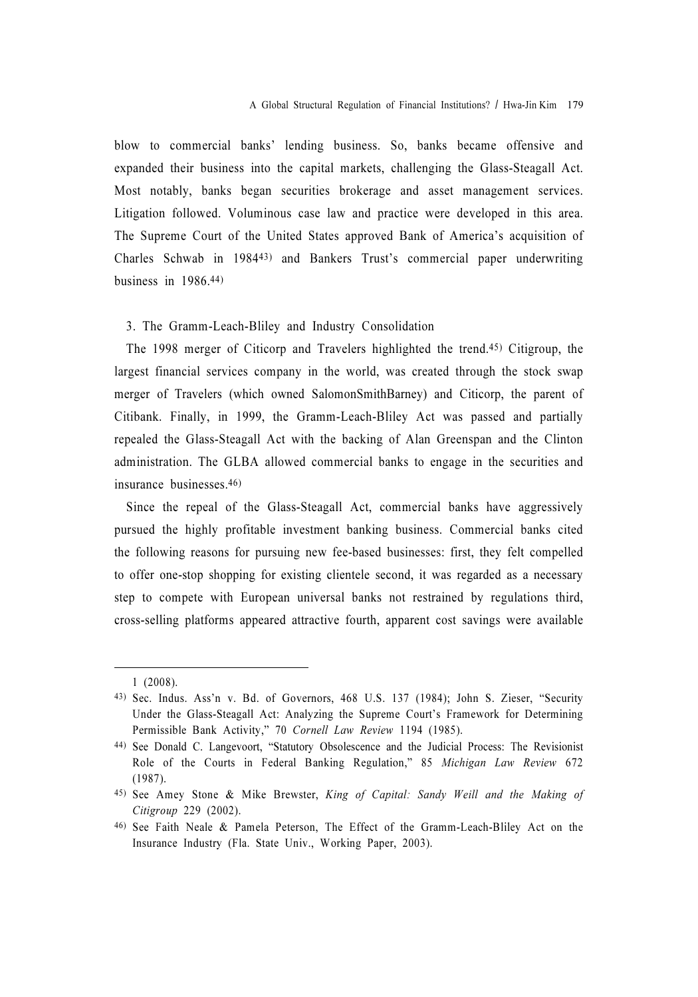blow to commercial banks' lending business. So, banks became offensive and expanded their business into the capital markets, challenging the Glass-Steagall Act. Most notably, banks began securities brokerage and asset management services. Litigation followed. Voluminous case law and practice were developed in this area. The Supreme Court of the United States approved Bank of America's acquisition of Charles Schwab in 198443) and Bankers Trust's commercial paper underwriting business in  $1986.44$ )

#### 3. The Gramm-Leach-Bliley and Industry Consolidation

The 1998 merger of Citicorp and Travelers highlighted the trend.45) Citigroup, the largest financial services company in the world, was created through the stock swap merger of Travelers (which owned SalomonSmithBarney) and Citicorp, the parent of Citibank. Finally, in 1999, the Gramm-Leach-Bliley Act was passed and partially repealed the Glass-Steagall Act with the backing of Alan Greenspan and the Clinton administration. The GLBA allowed commercial banks to engage in the securities and insurance businesses.46)

Since the repeal of the Glass-Steagall Act, commercial banks have aggressively pursued the highly profitable investment banking business. Commercial banks cited the following reasons for pursuing new fee-based businesses: first, they felt compelled to offer one-stop shopping for existing clientele second, it was regarded as a necessary step to compete with European universal banks not restrained by regulations third, cross-selling platforms appeared attractive fourth, apparent cost savings were available

<sup>1 (2008).</sup>

<sup>43)</sup> Sec. Indus. Ass'n v. Bd. of Governors, 468 U.S. 137 (1984); John S. Zieser, "Security Under the Glass-Steagall Act: Analyzing the Supreme Court's Framework for Determining Permissible Bank Activity," 70 Cornell Law Review 1194 (1985).

<sup>44)</sup> See Donald C. Langevoort, "Statutory Obsolescence and the Judicial Process: The Revisionist Role of the Courts in Federal Banking Regulation," 85 Michigan Law Review 672 (1987).

<sup>45)</sup> See Amey Stone & Mike Brewster, King of Capital: Sandy Weill and the Making of Citigroup 229 (2002).

<sup>46)</sup> See Faith Neale & Pamela Peterson, The Effect of the Gramm-Leach-Bliley Act on the Insurance Industry (Fla. State Univ., Working Paper, 2003).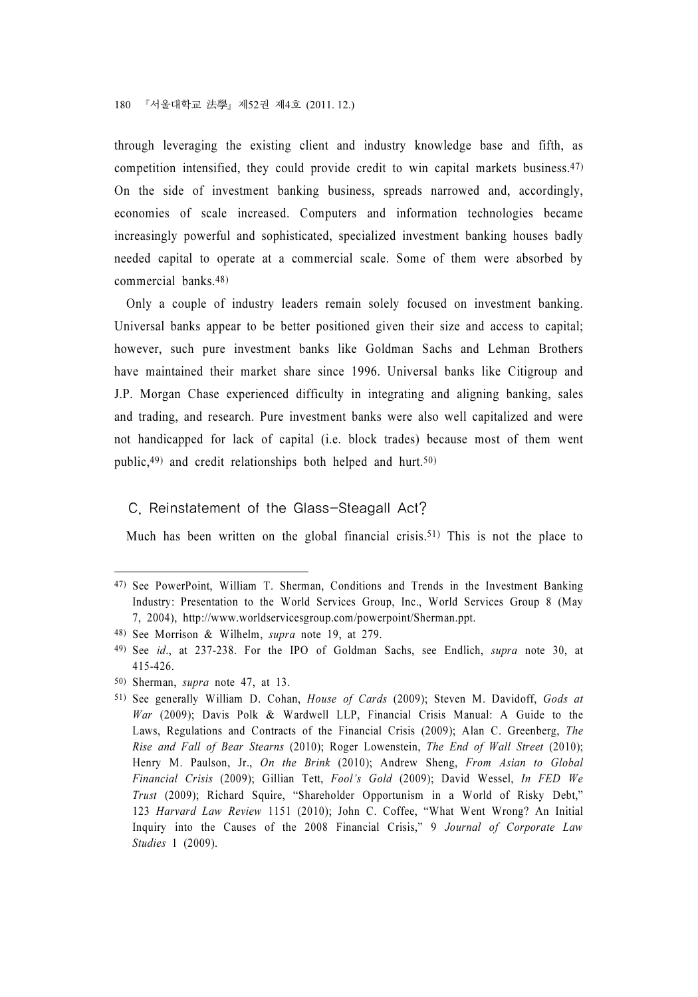through leveraging the existing client and industry knowledge base and fifth, as competition intensified, they could provide credit to win capital markets business.47) On the side of investment banking business, spreads narrowed and, accordingly, economies of scale increased. Computers and information technologies became increasingly powerful and sophisticated, specialized investment banking houses badly needed capital to operate at a commercial scale. Some of them were absorbed by commercial banks.48)

Only a couple of industry leaders remain solely focused on investment banking. Universal banks appear to be better positioned given their size and access to capital; however, such pure investment banks like Goldman Sachs and Lehman Brothers have maintained their market share since 1996. Universal banks like Citigroup and J.P. Morgan Chase experienced difficulty in integrating and aligning banking, sales and trading, and research. Pure investment banks were also well capitalized and were not handicapped for lack of capital (i.e. block trades) because most of them went public,  $49$  and credit relationships both helped and hurt.  $50$ 

#### C. Reinstatement of the Glass-Steagall Act?

Much has been written on the global financial crisis.<sup>51)</sup> This is not the place to

<sup>47)</sup> See PowerPoint, William T. Sherman, Conditions and Trends in the Investment Banking Industry: Presentation to the World Services Group, Inc., World Services Group 8 (May 7, 2004), http://www.worldservicesgroup.com/powerpoint/Sherman.ppt.

<sup>48)</sup> See Morrison & Wilhelm, supra note 19, at 279.

<sup>49)</sup> See id., at 237-238. For the IPO of Goldman Sachs, see Endlich, supra note 30, at 415-426.

<sup>50)</sup> Sherman, supra note 47, at 13.

<sup>51)</sup> See generally William D. Cohan, House of Cards (2009); Steven M. Davidoff, Gods at War (2009); Davis Polk & Wardwell LLP, Financial Crisis Manual: A Guide to the Laws, Regulations and Contracts of the Financial Crisis (2009); Alan C. Greenberg, The Rise and Fall of Bear Stearns (2010); Roger Lowenstein, The End of Wall Street (2010); Henry M. Paulson, Jr., On the Brink (2010); Andrew Sheng, From Asian to Global Financial Crisis (2009); Gillian Tett, Fool's Gold (2009); David Wessel, In FED We Trust (2009); Richard Squire, "Shareholder Opportunism in a World of Risky Debt," 123 Harvard Law Review 1151 (2010); John C. Coffee, "What Went Wrong? An Initial Inquiry into the Causes of the 2008 Financial Crisis," 9 Journal of Corporate Law Studies 1 (2009).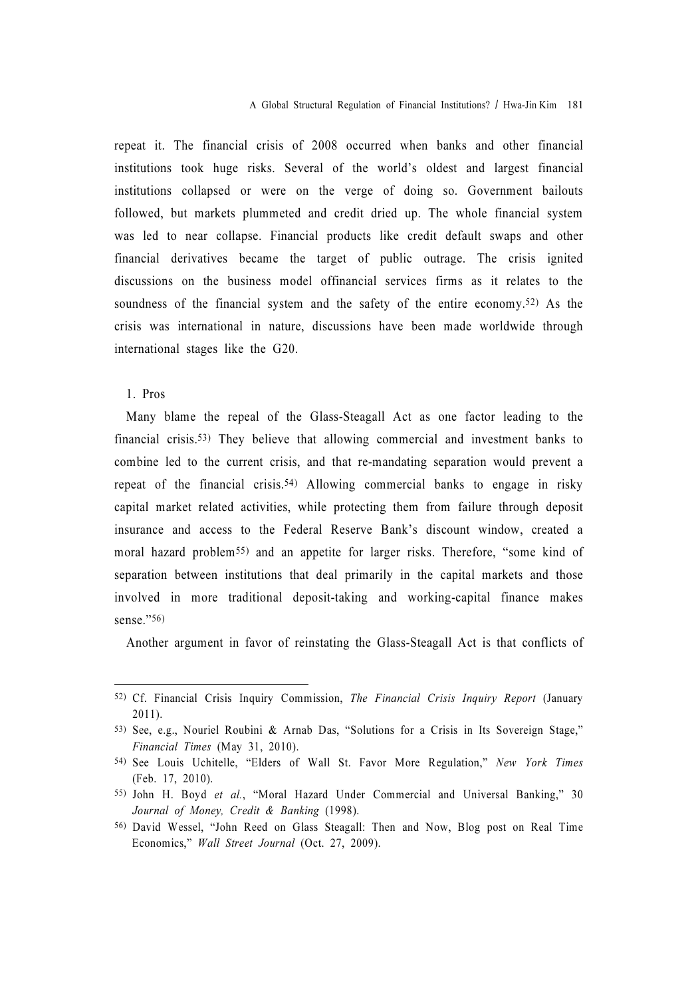repeat it. The financial crisis of 2008 occurred when banks and other financial institutions took huge risks. Several of the world's oldest and largest financial institutions collapsed or were on the verge of doing so. Government bailouts followed, but markets plummeted and credit dried up. The whole financial system was led to near collapse. Financial products like credit default swaps and other financial derivatives became the target of public outrage. The crisis ignited discussions on the business model offinancial services firms as it relates to the soundness of the financial system and the safety of the entire economy.<sup>52)</sup> As the crisis was international in nature, discussions have been made worldwide through international stages like the G20.

#### 1. Pros

Many blame the repeal of the Glass-Steagall Act as one factor leading to the financial crisis.53) They believe that allowing commercial and investment banks to combine led to the current crisis, and that re-mandating separation would prevent a repeat of the financial crisis.54) Allowing commercial banks to engage in risky capital market related activities, while protecting them from failure through deposit insurance and access to the Federal Reserve Bank's discount window, created a moral hazard problem55) and an appetite for larger risks. Therefore, "some kind of separation between institutions that deal primarily in the capital markets and those involved in more traditional deposit-taking and working-capital finance makes sense."56)

Another argument in favor of reinstating the Glass-Steagall Act is that conflicts of

<sup>52)</sup> Cf. Financial Crisis Inquiry Commission, The Financial Crisis Inquiry Report (January 2011).

<sup>53)</sup> See, e.g., Nouriel Roubini & Arnab Das, "Solutions for a Crisis in Its Sovereign Stage," Financial Times (May 31, 2010).

<sup>54)</sup> See Louis Uchitelle, "Elders of Wall St. Favor More Regulation," New York Times (Feb. 17, 2010).

<sup>55)</sup> John H. Boyd et al., "Moral Hazard Under Commercial and Universal Banking," 30 Journal of Money, Credit & Banking (1998).

<sup>56)</sup> David Wessel, "John Reed on Glass Steagall: Then and Now, Blog post on Real Time Economics," Wall Street Journal (Oct. 27, 2009).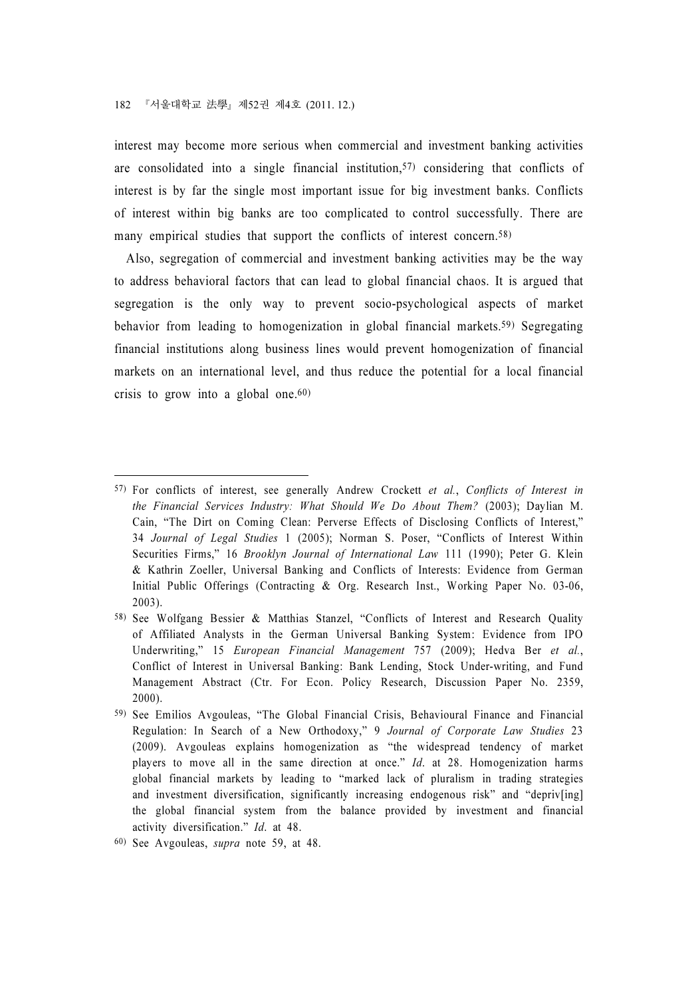interest may become more serious when commercial and investment banking activities are consolidated into a single financial institution,57) considering that conflicts of interest is by far the single most important issue for big investment banks. Conflicts of interest within big banks are too complicated to control successfully. There are many empirical studies that support the conflicts of interest concern.<sup>58)</sup>

Also, segregation of commercial and investment banking activities may be the way to address behavioral factors that can lead to global financial chaos. It is argued that segregation is the only way to prevent socio-psychological aspects of market behavior from leading to homogenization in global financial markets.59) Segregating financial institutions along business lines would prevent homogenization of financial markets on an international level, and thus reduce the potential for a local financial crisis to grow into a global one.<sup> $60)$ </sup>

<sup>57)</sup> For conflicts of interest, see generally Andrew Crockett et al., Conflicts of Interest in the Financial Services Industry: What Should We Do About Them? (2003); Daylian M. Cain, "The Dirt on Coming Clean: Perverse Effects of Disclosing Conflicts of Interest," 34 Journal of Legal Studies 1 (2005); Norman S. Poser, "Conflicts of Interest Within Securities Firms," 16 Brooklyn Journal of International Law 111 (1990); Peter G. Klein & Kathrin Zoeller, Universal Banking and Conflicts of Interests: Evidence from German Initial Public Offerings (Contracting & Org. Research Inst., Working Paper No. 03-06, 2003).

<sup>58)</sup> See Wolfgang Bessier & Matthias Stanzel, "Conflicts of Interest and Research Quality of Affiliated Analysts in the German Universal Banking System: Evidence from IPO Underwriting," 15 European Financial Management 757 (2009); Hedva Ber et al., Conflict of Interest in Universal Banking: Bank Lending, Stock Under-writing, and Fund Management Abstract (Ctr. For Econ. Policy Research, Discussion Paper No. 2359, 2000).

<sup>59)</sup> See Emilios Avgouleas, "The Global Financial Crisis, Behavioural Finance and Financial Regulation: In Search of a New Orthodoxy," 9 Journal of Corporate Law Studies 23 (2009). Avgouleas explains homogenization as "the widespread tendency of market players to move all in the same direction at once." Id. at 28. Homogenization harms global financial markets by leading to "marked lack of pluralism in trading strategies and investment diversification, significantly increasing endogenous risk" and "depriv[ing] the global financial system from the balance provided by investment and financial activity diversification." Id. at 48.

<sup>60)</sup> See Avgouleas, supra note 59, at 48.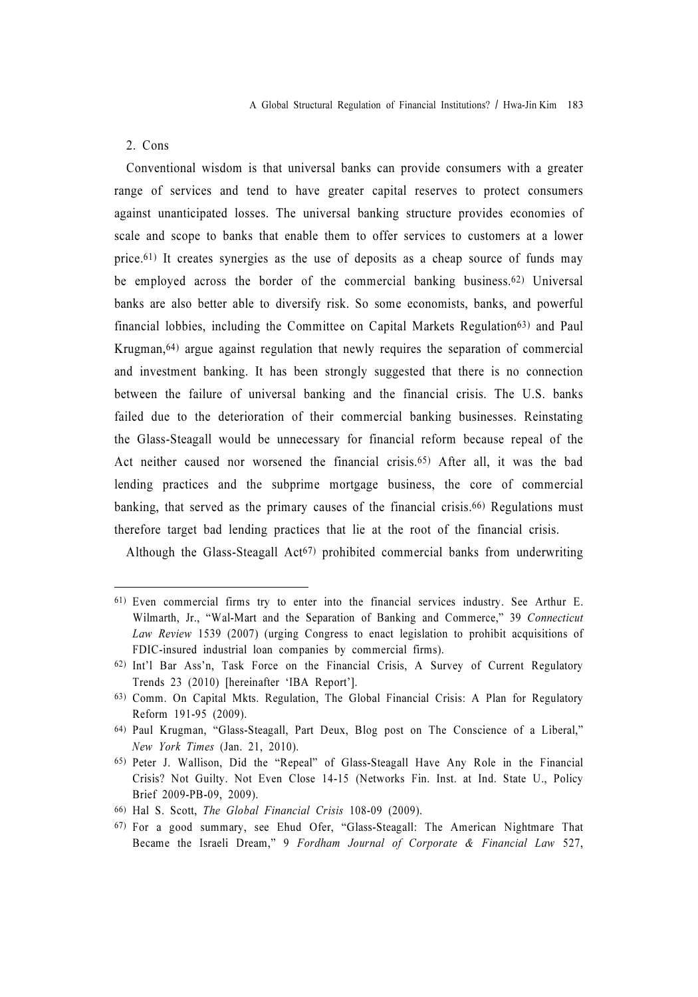#### 2. Cons

Conventional wisdom is that universal banks can provide consumers with a greater range of services and tend to have greater capital reserves to protect consumers against unanticipated losses. The universal banking structure provides economies of scale and scope to banks that enable them to offer services to customers at a lower price.61) It creates synergies as the use of deposits as a cheap source of funds may be employed across the border of the commercial banking business.62) Universal banks are also better able to diversify risk. So some economists, banks, and powerful financial lobbies, including the Committee on Capital Markets Regulation63) and Paul Krugman,64) argue against regulation that newly requires the separation of commercial and investment banking. It has been strongly suggested that there is no connection between the failure of universal banking and the financial crisis. The U.S. banks failed due to the deterioration of their commercial banking businesses. Reinstating the Glass-Steagall would be unnecessary for financial reform because repeal of the Act neither caused nor worsened the financial crisis.65) After all, it was the bad lending practices and the subprime mortgage business, the core of commercial banking, that served as the primary causes of the financial crisis.66) Regulations must therefore target bad lending practices that lie at the root of the financial crisis.

Although the Glass-Steagall Act<sup>67)</sup> prohibited commercial banks from underwriting

<sup>61)</sup> Even commercial firms try to enter into the financial services industry. See Arthur E. Wilmarth, Jr., "Wal-Mart and the Separation of Banking and Commerce," 39 Connecticut Law Review 1539 (2007) (urging Congress to enact legislation to prohibit acquisitions of FDIC-insured industrial loan companies by commercial firms).

<sup>62)</sup> Int'l Bar Ass'n, Task Force on the Financial Crisis, A Survey of Current Regulatory Trends 23 (2010) [hereinafter 'IBA Report'].

<sup>63)</sup> Comm. On Capital Mkts. Regulation, The Global Financial Crisis: A Plan for Regulatory Reform 191-95 (2009).

<sup>64)</sup> Paul Krugman, "Glass-Steagall, Part Deux, Blog post on The Conscience of a Liberal," New York Times (Jan. 21, 2010).

<sup>65)</sup> Peter J. Wallison, Did the "Repeal" of Glass-Steagall Have Any Role in the Financial Crisis? Not Guilty. Not Even Close 14-15 (Networks Fin. Inst. at Ind. State U., Policy Brief 2009-PB-09, 2009).

<sup>66)</sup> Hal S. Scott, The Global Financial Crisis 108-09 (2009).

<sup>67)</sup> For a good summary, see Ehud Ofer, "Glass-Steagall: The American Nightmare That Became the Israeli Dream," 9 Fordham Journal of Corporate & Financial Law 527,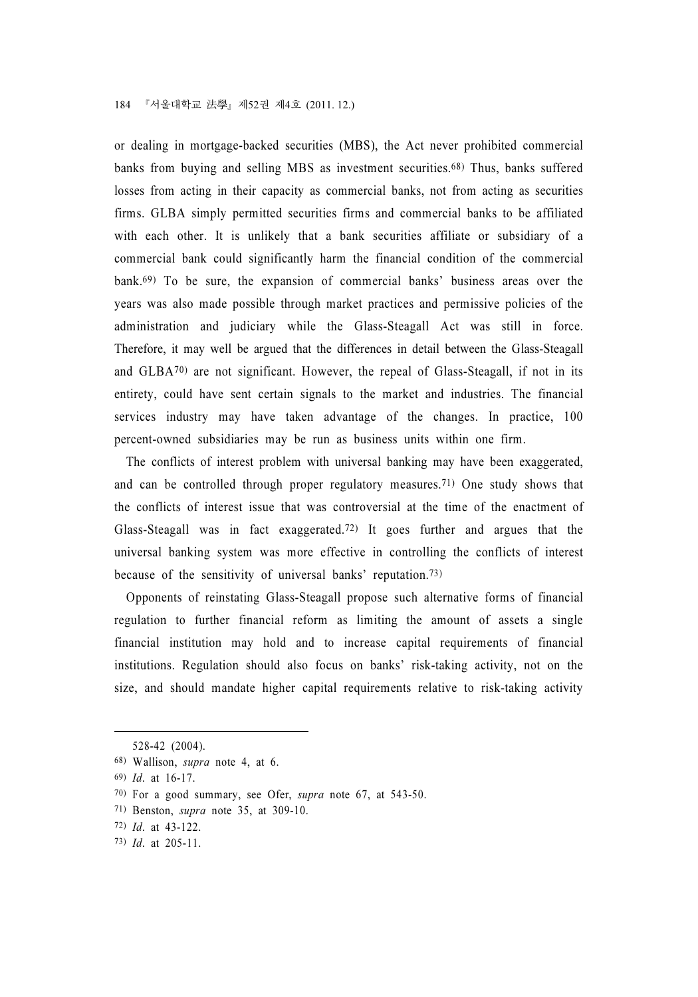or dealing in mortgage-backed securities (MBS), the Act never prohibited commercial banks from buying and selling MBS as investment securities.68) Thus, banks suffered losses from acting in their capacity as commercial banks, not from acting as securities firms. GLBA simply permitted securities firms and commercial banks to be affiliated with each other. It is unlikely that a bank securities affiliate or subsidiary of a commercial bank could significantly harm the financial condition of the commercial bank.69) To be sure, the expansion of commercial banks' business areas over the years was also made possible through market practices and permissive policies of the administration and judiciary while the Glass-Steagall Act was still in force. Therefore, it may well be argued that the differences in detail between the Glass-Steagall and GLBA70) are not significant. However, the repeal of Glass-Steagall, if not in its entirety, could have sent certain signals to the market and industries. The financial services industry may have taken advantage of the changes. In practice, 100 percent-owned subsidiaries may be run as business units within one firm.

The conflicts of interest problem with universal banking may have been exaggerated, and can be controlled through proper regulatory measures.71) One study shows that the conflicts of interest issue that was controversial at the time of the enactment of Glass-Steagall was in fact exaggerated.72) It goes further and argues that the universal banking system was more effective in controlling the conflicts of interest because of the sensitivity of universal banks' reputation.73)

Opponents of reinstating Glass-Steagall propose such alternative forms of financial regulation to further financial reform as limiting the amount of assets a single financial institution may hold and to increase capital requirements of financial institutions. Regulation should also focus on banks' risk-taking activity, not on the size, and should mandate higher capital requirements relative to risk-taking activity

<sup>528-42 (2004).</sup>

<sup>68)</sup> Wallison, supra note 4, at 6.

<sup>69)</sup> Id. at 16-17.

<sup>70)</sup> For a good summary, see Ofer, supra note 67, at 543-50.

<sup>71)</sup> Benston, supra note 35, at 309-10.

<sup>72)</sup> Id. at 43-122.

<sup>73)</sup> Id. at 205-11.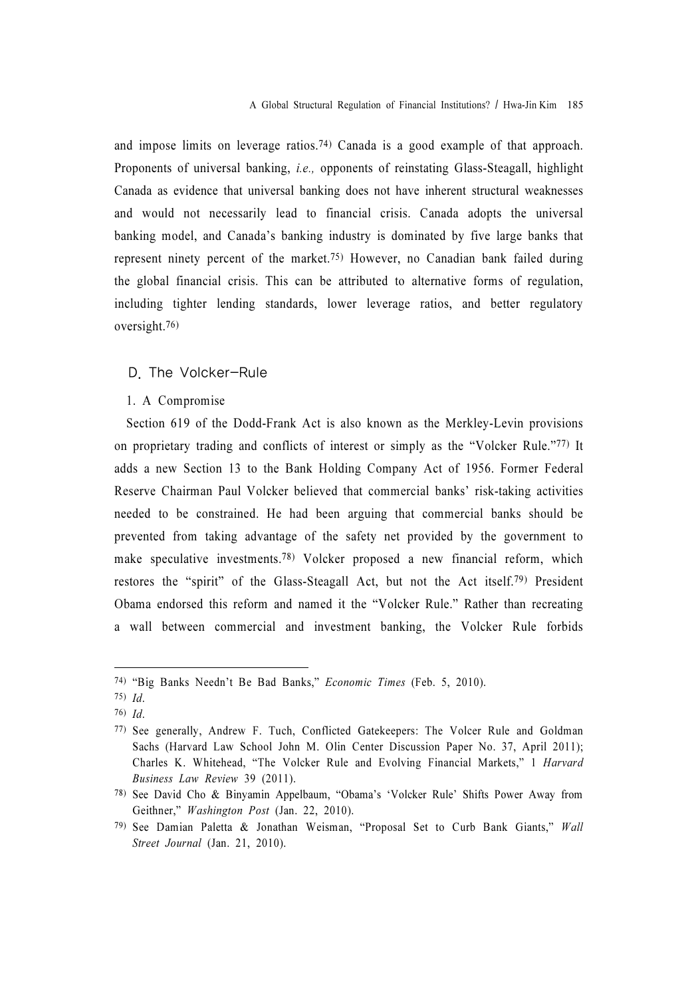and impose limits on leverage ratios.74) Canada is a good example of that approach. Proponents of universal banking, i.e., opponents of reinstating Glass-Steagall, highlight Canada as evidence that universal banking does not have inherent structural weaknesses and would not necessarily lead to financial crisis. Canada adopts the universal banking model, and Canada's banking industry is dominated by five large banks that represent ninety percent of the market.75) However, no Canadian bank failed during the global financial crisis. This can be attributed to alternative forms of regulation, including tighter lending standards, lower leverage ratios, and better regulatory oversight.76)

#### D. The Volcker-Rule

#### 1. A Compromise

Section 619 of the Dodd-Frank Act is also known as the Merkley-Levin provisions on proprietary trading and conflicts of interest or simply as the "Volcker Rule."77) It adds a new Section 13 to the Bank Holding Company Act of 1956. Former Federal Reserve Chairman Paul Volcker believed that commercial banks' risk-taking activities needed to be constrained. He had been arguing that commercial banks should be prevented from taking advantage of the safety net provided by the government to make speculative investments.78) Volcker proposed a new financial reform, which restores the "spirit" of the Glass-Steagall Act, but not the Act itself.79) President Obama endorsed this reform and named it the "Volcker Rule." Rather than recreating a wall between commercial and investment banking, the Volcker Rule forbids

<sup>74)</sup> "Big Banks Needn't Be Bad Banks," Economic Times (Feb. 5, 2010).

<sup>75)</sup> Id.

<sup>76)</sup> Id.

<sup>77)</sup> See generally, Andrew F. Tuch, Conflicted Gatekeepers: The Volcer Rule and Goldman Sachs (Harvard Law School John M. Olin Center Discussion Paper No. 37, April 2011); Charles K. Whitehead, "The Volcker Rule and Evolving Financial Markets," 1 Harvard Business Law Review 39 (2011).

<sup>78)</sup> See David Cho & Binyamin Appelbaum, "Obama's 'Volcker Rule' Shifts Power Away from Geithner," Washington Post (Jan. 22, 2010).

<sup>79)</sup> See Damian Paletta & Jonathan Weisman, "Proposal Set to Curb Bank Giants," Wall Street Journal (Jan. 21, 2010).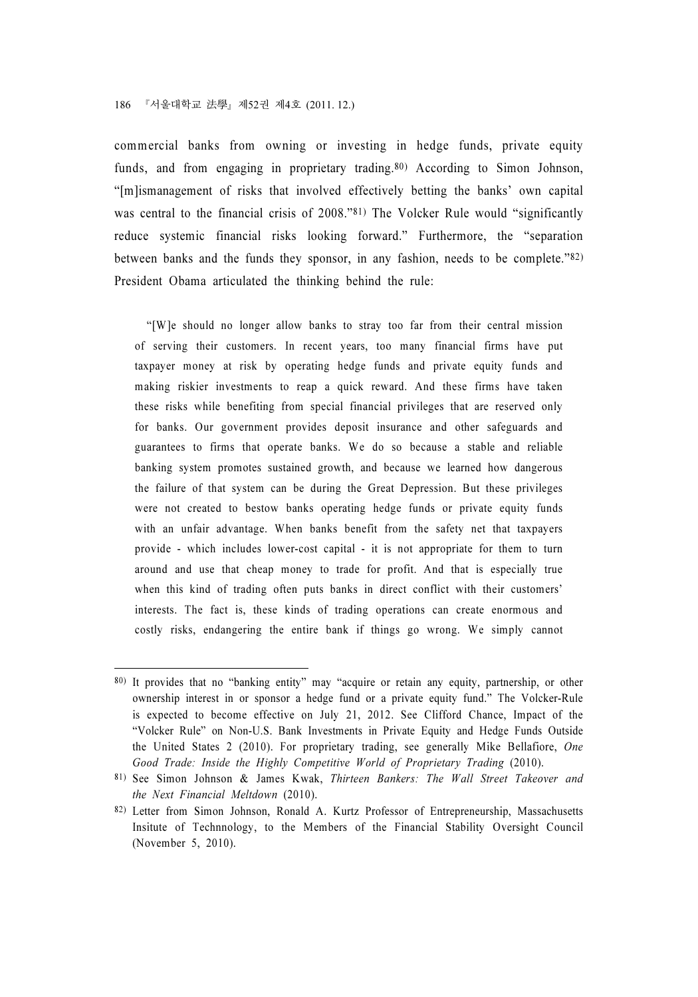#### 186 『서울대학교 法學』제52권 제4호 (2011.12.)

commercial banks from owning or investing in hedge funds, private equity funds, and from engaging in proprietary trading.<sup>80)</sup> According to Simon Johnson, "[m]ismanagement of risks that involved effectively betting the banks' own capital was central to the financial crisis of 2008."<sup>81</sup>) The Volcker Rule would "significantly reduce systemic financial risks looking forward." Furthermore, the "separation between banks and the funds they sponsor, in any fashion, needs to be complete."82) President Obama articulated the thinking behind the rule:

 "[W]e should no longer allow banks to stray too far from their central mission of serving their customers. In recent years, too many financial firms have put taxpayer money at risk by operating hedge funds and private equity funds and making riskier investments to reap a quick reward. And these firms have taken these risks while benefiting from special financial privileges that are reserved only for banks. Our government provides deposit insurance and other safeguards and guarantees to firms that operate banks. We do so because a stable and reliable banking system promotes sustained growth, and because we learned how dangerous the failure of that system can be during the Great Depression. But these privileges were not created to bestow banks operating hedge funds or private equity funds with an unfair advantage. When banks benefit from the safety net that taxpayers provide - which includes lower-cost capital - it is not appropriate for them to turn around and use that cheap money to trade for profit. And that is especially true when this kind of trading often puts banks in direct conflict with their customers' interests. The fact is, these kinds of trading operations can create enormous and costly risks, endangering the entire bank if things go wrong. We simply cannot

<sup>80)</sup> It provides that no "banking entity" may "acquire or retain any equity, partnership, or other ownership interest in or sponsor a hedge fund or a private equity fund." The Volcker-Rule is expected to become effective on July 21, 2012. See Clifford Chance, Impact of the "Volcker Rule" on Non-U.S. Bank Investments in Private Equity and Hedge Funds Outside the United States 2 (2010). For proprietary trading, see generally Mike Bellafiore, One Good Trade: Inside the Highly Competitive World of Proprietary Trading (2010).

<sup>81)</sup> See Simon Johnson & James Kwak, Thirteen Bankers: The Wall Street Takeover and the Next Financial Meltdown (2010).

<sup>82)</sup> Letter from Simon Johnson, Ronald A. Kurtz Professor of Entrepreneurship, Massachusetts Insitute of Technnology, to the Members of the Financial Stability Oversight Council (November 5, 2010).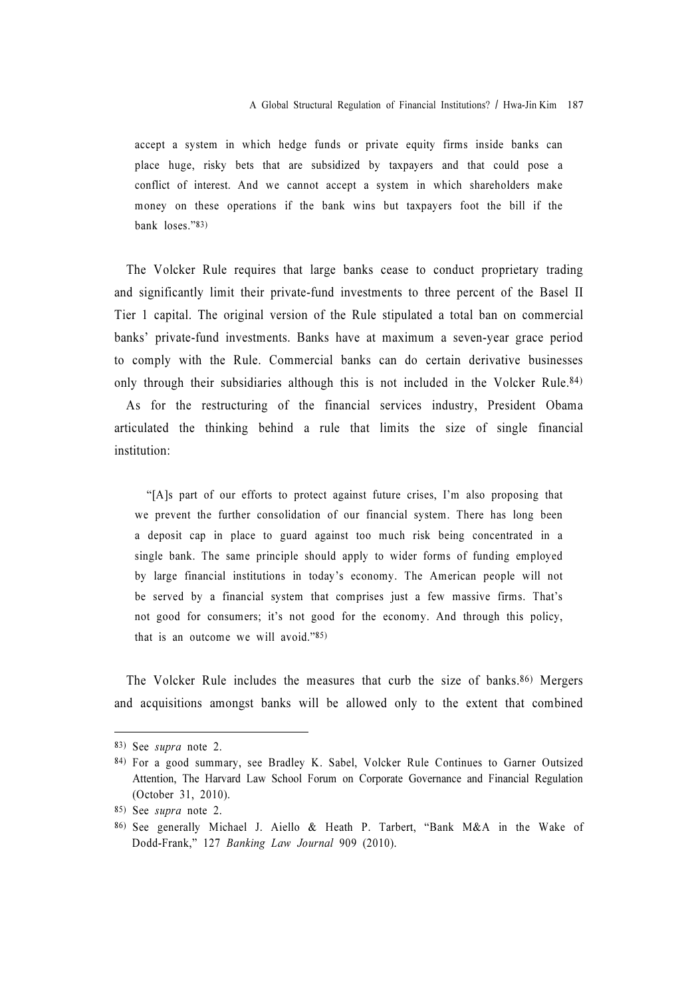accept a system in which hedge funds or private equity firms inside banks can place huge, risky bets that are subsidized by taxpayers and that could pose a conflict of interest. And we cannot accept a system in which shareholders make money on these operations if the bank wins but taxpayers foot the bill if the bank loses."83)

The Volcker Rule requires that large banks cease to conduct proprietary trading and significantly limit their private-fund investments to three percent of the Basel II Tier 1 capital. The original version of the Rule stipulated a total ban on commercial banks' private-fund investments. Banks have at maximum a seven-year grace period to comply with the Rule. Commercial banks can do certain derivative businesses only through their subsidiaries although this is not included in the Volcker Rule.84) As for the restructuring of the financial services industry, President Obama articulated the thinking behind a rule that limits the size of single financial institution:

 "[A]s part of our efforts to protect against future crises, I'm also proposing that we prevent the further consolidation of our financial system. There has long been a deposit cap in place to guard against too much risk being concentrated in a single bank. The same principle should apply to wider forms of funding employed by large financial institutions in today's economy. The American people will not be served by a financial system that comprises just a few massive firms. That's not good for consumers; it's not good for the economy. And through this policy, that is an outcome we will avoid."85)

The Volcker Rule includes the measures that curb the size of banks.86) Mergers and acquisitions amongst banks will be allowed only to the extent that combined

<sup>83)</sup> See supra note 2.

<sup>84)</sup> For a good summary, see Bradley K. Sabel, Volcker Rule Continues to Garner Outsized Attention, The Harvard Law School Forum on Corporate Governance and Financial Regulation (October 31, 2010).

<sup>85)</sup> See supra note 2.

<sup>86)</sup> See generally Michael J. Aiello & Heath P. Tarbert, "Bank M&A in the Wake of Dodd-Frank," 127 Banking Law Journal 909 (2010).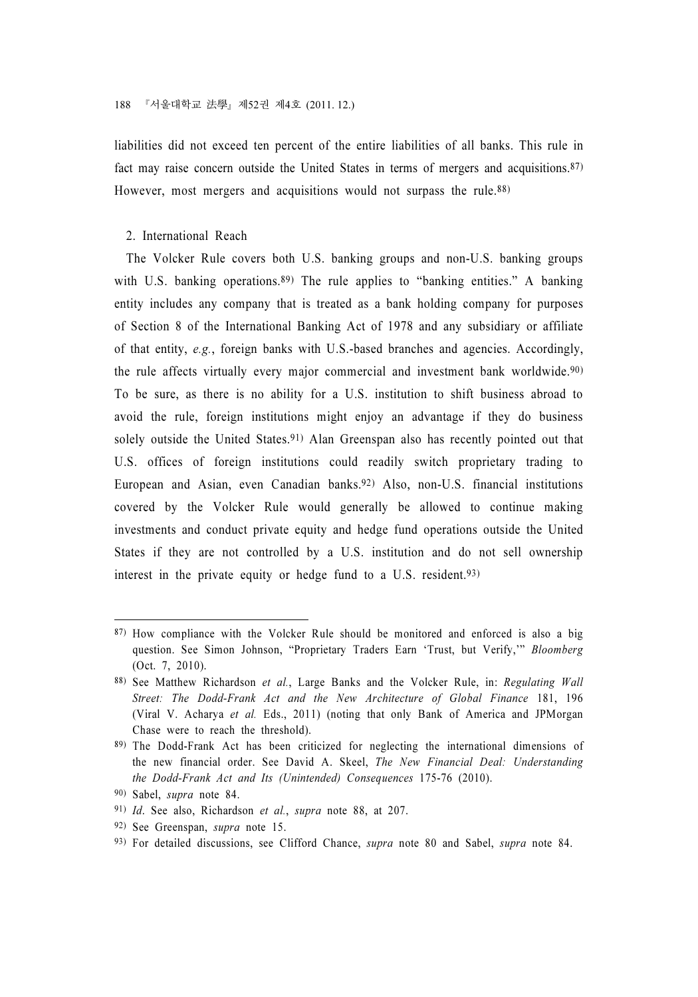liabilities did not exceed ten percent of the entire liabilities of all banks. This rule in fact may raise concern outside the United States in terms of mergers and acquisitions.87) However, most mergers and acquisitions would not surpass the rule.<sup>88)</sup>

#### 2. International Reach

The Volcker Rule covers both U.S. banking groups and non-U.S. banking groups with U.S. banking operations.<sup>89)</sup> The rule applies to "banking entities." A banking entity includes any company that is treated as a bank holding company for purposes of Section 8 of the International Banking Act of 1978 and any subsidiary or affiliate of that entity, e.g., foreign banks with U.S.-based branches and agencies. Accordingly, the rule affects virtually every major commercial and investment bank worldwide.90) To be sure, as there is no ability for a U.S. institution to shift business abroad to avoid the rule, foreign institutions might enjoy an advantage if they do business solely outside the United States.<sup>91)</sup> Alan Greenspan also has recently pointed out that U.S. offices of foreign institutions could readily switch proprietary trading to European and Asian, even Canadian banks.92) Also, non-U.S. financial institutions covered by the Volcker Rule would generally be allowed to continue making investments and conduct private equity and hedge fund operations outside the United States if they are not controlled by a U.S. institution and do not sell ownership interest in the private equity or hedge fund to a U.S. resident.93)

<sup>87)</sup> How compliance with the Volcker Rule should be monitored and enforced is also a big question. See Simon Johnson, "Proprietary Traders Earn 'Trust, but Verify," Bloomberg (Oct. 7, 2010).

<sup>88)</sup> See Matthew Richardson et al., Large Banks and the Volcker Rule, in: Regulating Wall Street: The Dodd-Frank Act and the New Architecture of Global Finance 181, 196 (Viral V. Acharya et al. Eds., 2011) (noting that only Bank of America and JPMorgan Chase were to reach the threshold).

<sup>89)</sup> The Dodd-Frank Act has been criticized for neglecting the international dimensions of the new financial order. See David A. Skeel, The New Financial Deal: Understanding the Dodd-Frank Act and Its (Unintended) Consequences 175-76 (2010).

<sup>90)</sup> Sabel, supra note 84.

<sup>91)</sup> Id. See also, Richardson et al., supra note 88, at 207.

<sup>92)</sup> See Greenspan, supra note 15.

<sup>93)</sup> For detailed discussions, see Clifford Chance, supra note 80 and Sabel, supra note 84.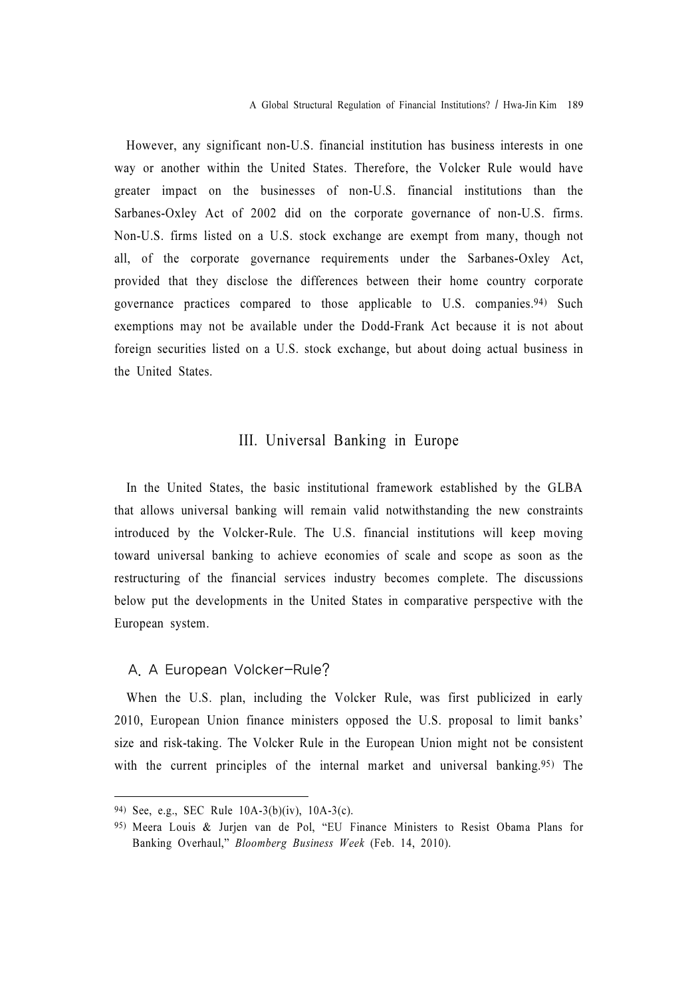However, any significant non-U.S. financial institution has business interests in one way or another within the United States. Therefore, the Volcker Rule would have greater impact on the businesses of non-U.S. financial institutions than the Sarbanes-Oxley Act of 2002 did on the corporate governance of non-U.S. firms. Non-U.S. firms listed on a U.S. stock exchange are exempt from many, though not all, of the corporate governance requirements under the Sarbanes-Oxley Act, provided that they disclose the differences between their home country corporate governance practices compared to those applicable to U.S. companies.94) Such exemptions may not be available under the Dodd-Frank Act because it is not about foreign securities listed on a U.S. stock exchange, but about doing actual business in the United States.

# III. Universal Banking in Europe

In the United States, the basic institutional framework established by the GLBA that allows universal banking will remain valid notwithstanding the new constraints introduced by the Volcker-Rule. The U.S. financial institutions will keep moving toward universal banking to achieve economies of scale and scope as soon as the restructuring of the financial services industry becomes complete. The discussions below put the developments in the United States in comparative perspective with the European system.

#### A. A European Volcker-Rule?

When the U.S. plan, including the Volcker Rule, was first publicized in early 2010, European Union finance ministers opposed the U.S. proposal to limit banks' size and risk-taking. The Volcker Rule in the European Union might not be consistent with the current principles of the internal market and universal banking.<sup>95)</sup> The

<sup>94)</sup> See, e.g., SEC Rule 10A-3(b)(iv), 10A-3(c).

<sup>95)</sup> Meera Louis & Jurjen van de Pol, "EU Finance Ministers to Resist Obama Plans for Banking Overhaul," Bloomberg Business Week (Feb. 14, 2010).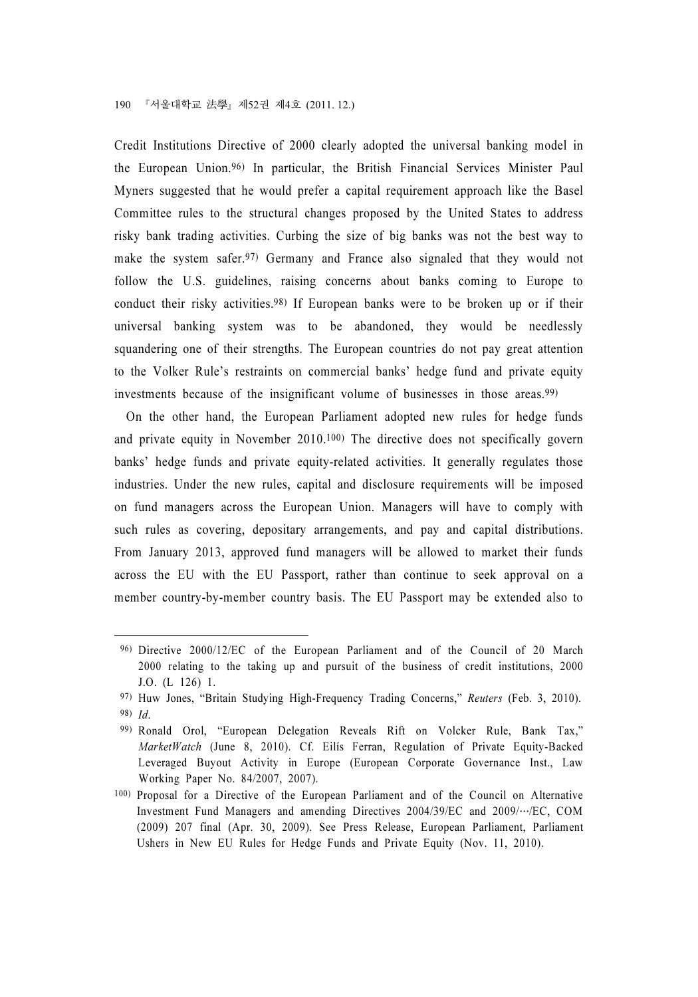Credit Institutions Directive of 2000 clearly adopted the universal banking model in the European Union.96) In particular, the British Financial Services Minister Paul Myners suggested that he would prefer a capital requirement approach like the Basel Committee rules to the structural changes proposed by the United States to address risky bank trading activities. Curbing the size of big banks was not the best way to make the system safer.97) Germany and France also signaled that they would not follow the U.S. guidelines, raising concerns about banks coming to Europe to conduct their risky activities.98) If European banks were to be broken up or if their universal banking system was to be abandoned, they would be needlessly squandering one of their strengths. The European countries do not pay great attention to the Volker Rule's restraints on commercial banks' hedge fund and private equity investments because of the insignificant volume of businesses in those areas.99)

On the other hand, the European Parliament adopted new rules for hedge funds and private equity in November 2010.100) The directive does not specifically govern banks' hedge funds and private equity-related activities. It generally regulates those industries. Under the new rules, capital and disclosure requirements will be imposed on fund managers across the European Union. Managers will have to comply with such rules as covering, depositary arrangements, and pay and capital distributions. From January 2013, approved fund managers will be allowed to market their funds across the EU with the EU Passport, rather than continue to seek approval on a member country-by-member country basis. The EU Passport may be extended also to

<sup>96)</sup> Directive 2000/12/EC of the European Parliament and of the Council of 20 March 2000 relating to the taking up and pursuit of the business of credit institutions, 2000 J.O. (L 126) 1.

<sup>97)</sup> Huw Jones, "Britain Studying High-Frequency Trading Concerns," Reuters (Feb. 3, 2010). 98) Id.

<sup>99)</sup> Ronald Orol, "European Delegation Reveals Rift on Volcker Rule, Bank Tax," MarketWatch (June 8, 2010). Cf. Eilís Ferran, Regulation of Private Equity-Backed Leveraged Buyout Activity in Europe (European Corporate Governance Inst., Law Working Paper No. 84/2007, 2007).

<sup>100)</sup> Proposal for a Directive of the European Parliament and of the Council on Alternative Investment Fund Managers and amending Directives 2004/39/EC and 2009/…/EC, COM (2009) 207 final (Apr. 30, 2009). See Press Release, European Parliament, Parliament Ushers in New EU Rules for Hedge Funds and Private Equity (Nov. 11, 2010).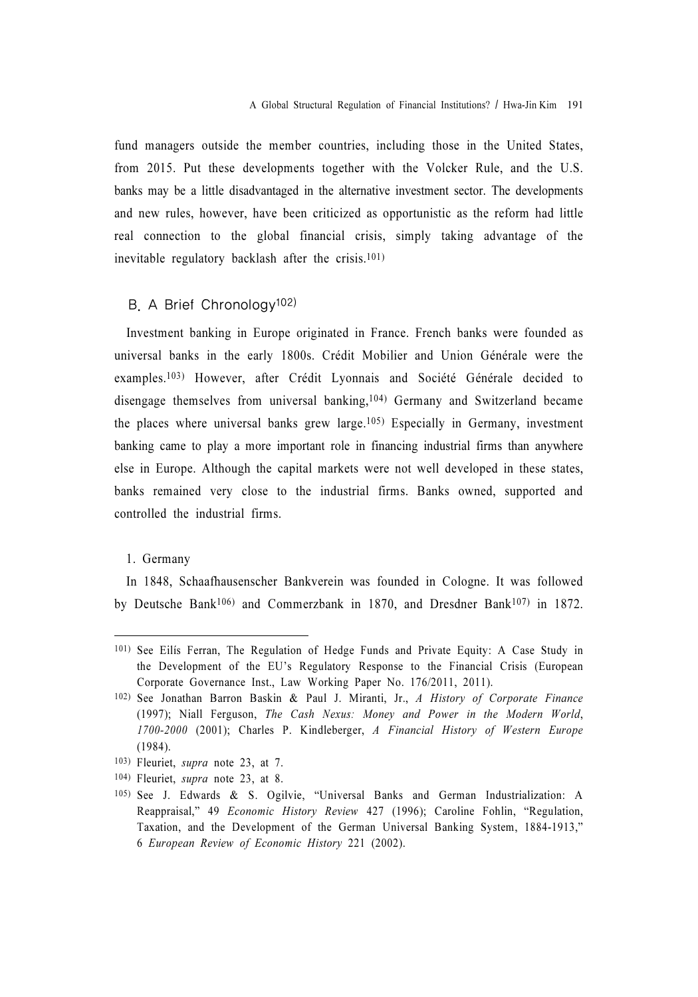fund managers outside the member countries, including those in the United States, from 2015. Put these developments together with the Volcker Rule, and the U.S. banks may be a little disadvantaged in the alternative investment sector. The developments and new rules, however, have been criticized as opportunistic as the reform had little real connection to the global financial crisis, simply taking advantage of the inevitable regulatory backlash after the crisis.101)

# B. A Brief Chronology102)

Investment banking in Europe originated in France. French banks were founded as universal banks in the early 1800s. Crédit Mobilier and Union Générale were the examples.103) However, after Crédit Lyonnais and Société Générale decided to disengage themselves from universal banking,104) Germany and Switzerland became the places where universal banks grew large.105) Especially in Germany, investment banking came to play a more important role in financing industrial firms than anywhere else in Europe. Although the capital markets were not well developed in these states, banks remained very close to the industrial firms. Banks owned, supported and controlled the industrial firms.

#### 1. Germany

In 1848, Schaafhausenscher Bankverein was founded in Cologne. It was followed by Deutsche Bank106) and Commerzbank in 1870, and Dresdner Bank107) in 1872.

<sup>101)</sup> See Eilís Ferran, The Regulation of Hedge Funds and Private Equity: A Case Study in the Development of the EU's Regulatory Response to the Financial Crisis (European Corporate Governance Inst., Law Working Paper No. 176/2011, 2011).

<sup>102)</sup> See Jonathan Barron Baskin & Paul J. Miranti, Jr., A History of Corporate Finance (1997); Niall Ferguson, The Cash Nexus: Money and Power in the Modern World, 1700-2000 (2001); Charles P. Kindleberger, A Financial History of Western Europe (1984).

<sup>103)</sup> Fleuriet, supra note 23, at 7.

<sup>104)</sup> Fleuriet, supra note 23, at 8.

<sup>105)</sup> See J. Edwards & S. Ogilvie, "Universal Banks and German Industrialization: A Reappraisal," 49 Economic History Review 427 (1996); Caroline Fohlin, "Regulation, Taxation, and the Development of the German Universal Banking System, 1884-1913," 6 European Review of Economic History 221 (2002).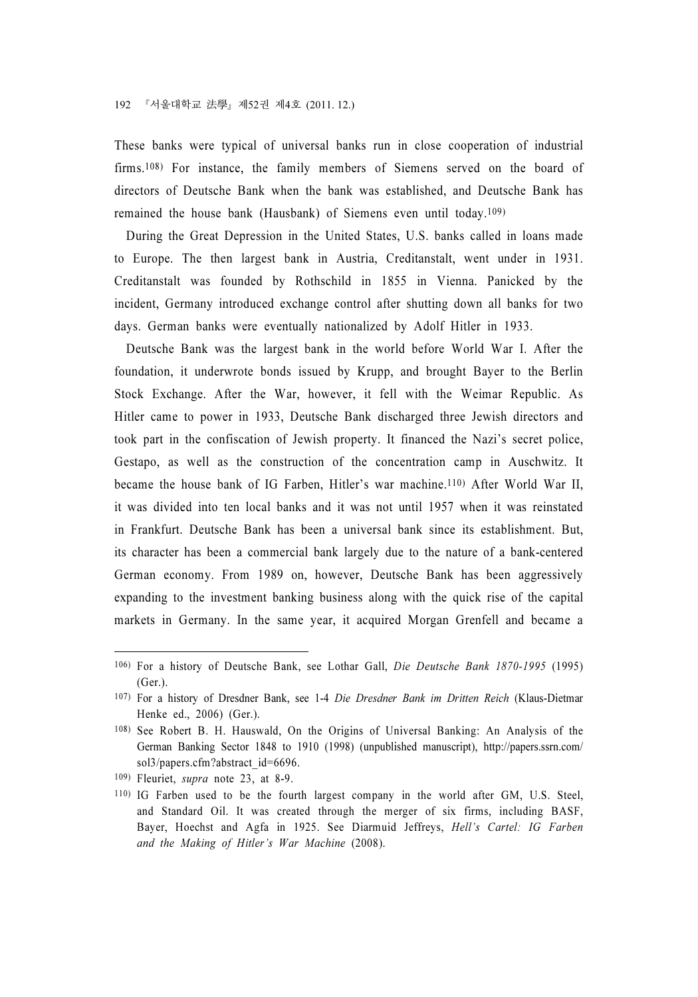These banks were typical of universal banks run in close cooperation of industrial firms.108) For instance, the family members of Siemens served on the board of directors of Deutsche Bank when the bank was established, and Deutsche Bank has remained the house bank (Hausbank) of Siemens even until today.109)

During the Great Depression in the United States, U.S. banks called in loans made to Europe. The then largest bank in Austria, Creditanstalt, went under in 1931. Creditanstalt was founded by Rothschild in 1855 in Vienna. Panicked by the incident, Germany introduced exchange control after shutting down all banks for two days. German banks were eventually nationalized by Adolf Hitler in 1933.

Deutsche Bank was the largest bank in the world before World War I. After the foundation, it underwrote bonds issued by Krupp, and brought Bayer to the Berlin Stock Exchange. After the War, however, it fell with the Weimar Republic. As Hitler came to power in 1933, Deutsche Bank discharged three Jewish directors and took part in the confiscation of Jewish property. It financed the Nazi's secret police, Gestapo, as well as the construction of the concentration camp in Auschwitz. It became the house bank of IG Farben, Hitler's war machine.110) After World War II, it was divided into ten local banks and it was not until 1957 when it was reinstated in Frankfurt. Deutsche Bank has been a universal bank since its establishment. But, its character has been a commercial bank largely due to the nature of a bank-centered German economy. From 1989 on, however, Deutsche Bank has been aggressively expanding to the investment banking business along with the quick rise of the capital markets in Germany. In the same year, it acquired Morgan Grenfell and became a

<sup>106)</sup> For a history of Deutsche Bank, see Lothar Gall, Die Deutsche Bank 1870-1995 (1995) (Ger.).

<sup>107)</sup> For a history of Dresdner Bank, see 1-4 Die Dresdner Bank im Dritten Reich (Klaus-Dietmar Henke ed., 2006) (Ger.).

<sup>108)</sup> See Robert B. H. Hauswald, On the Origins of Universal Banking: An Analysis of the German Banking Sector 1848 to 1910 (1998) (unpublished manuscript), http://papers.ssrn.com/ sol3/papers.cfm?abstract\_id=6696.

<sup>109)</sup> Fleuriet, supra note 23, at 8-9.

<sup>110)</sup> IG Farben used to be the fourth largest company in the world after GM, U.S. Steel, and Standard Oil. It was created through the merger of six firms, including BASF, Bayer, Hoechst and Agfa in 1925. See Diarmuid Jeffreys, Hell's Cartel: IG Farben and the Making of Hitler's War Machine (2008).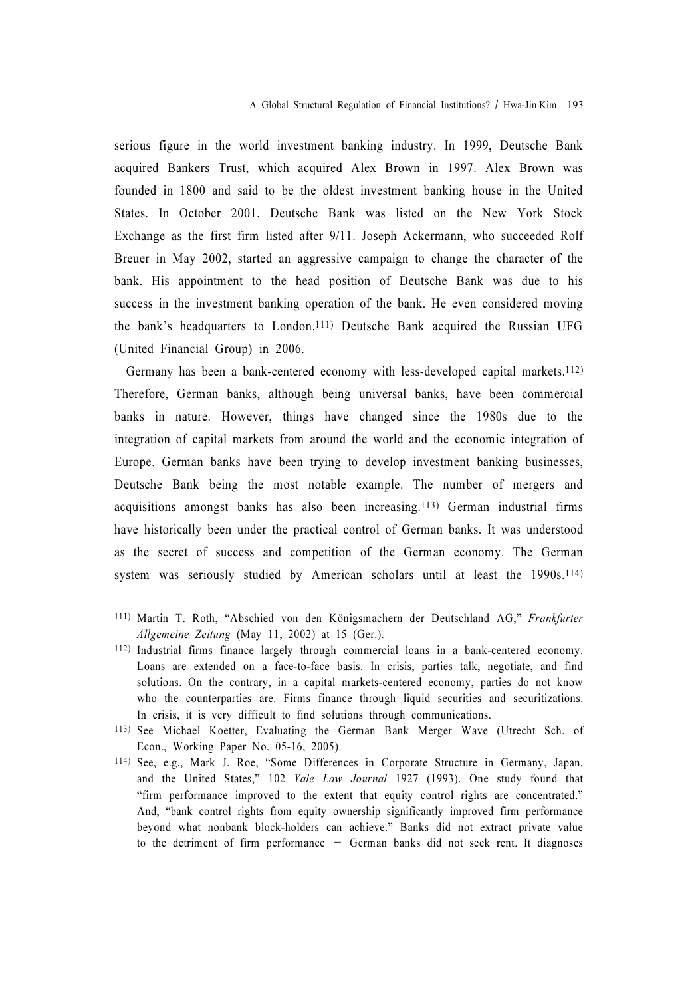serious figure in the world investment banking industry. In 1999, Deutsche Bank acquired Bankers Trust, which acquired Alex Brown in 1997. Alex Brown was founded in 1800 and said to be the oldest investment banking house in the United States. In October 2001, Deutsche Bank was listed on the New York Stock Exchange as the first firm listed after 9/11. Joseph Ackermann, who succeeded Rolf Breuer in May 2002, started an aggressive campaign to change the character of the bank. His appointment to the head position of Deutsche Bank was due to his success in the investment banking operation of the bank. He even considered moving the bank's headquarters to London.111) Deutsche Bank acquired the Russian UFG (United Financial Group) in 2006.

Germany has been a bank-centered economy with less-developed capital markets.112) Therefore, German banks, although being universal banks, have been commercial banks in nature. However, things have changed since the 1980s due to the integration of capital markets from around the world and the economic integration of Europe. German banks have been trying to develop investment banking businesses, Deutsche Bank being the most notable example. The number of mergers and acquisitions amongst banks has also been increasing.113) German industrial firms have historically been under the practical control of German banks. It was understood as the secret of success and competition of the German economy. The German system was seriously studied by American scholars until at least the 1990s.114)

<sup>111)</sup> Martin T. Roth, "Abschied von den Königsmachern der Deutschland AG," Frankfurter Allgemeine Zeitung (May 11, 2002) at 15 (Ger.).

<sup>112)</sup> Industrial firms finance largely through commercial loans in a bank-centered economy. Loans are extended on a face-to-face basis. In crisis, parties talk, negotiate, and find solutions. On the contrary, in a capital markets-centered economy, parties do not know who the counterparties are. Firms finance through liquid securities and securitizations. In crisis, it is very difficult to find solutions through communications.

<sup>113)</sup> See Michael Koetter, Evaluating the German Bank Merger Wave (Utrecht Sch. of Econ., Working Paper No. 05-16, 2005).

<sup>114)</sup> See, e.g., Mark J. Roe, "Some Differences in Corporate Structure in Germany, Japan, and the United States," 102 Yale Law Journal 1927 (1993). One study found that "firm performance improved to the extent that equity control rights are concentrated." And, "bank control rights from equity ownership significantly improved firm performance beyond what nonbank block-holders can achieve." Banks did not extract private value to the detriment of firm performance  $-$  German banks did not seek rent. It diagnoses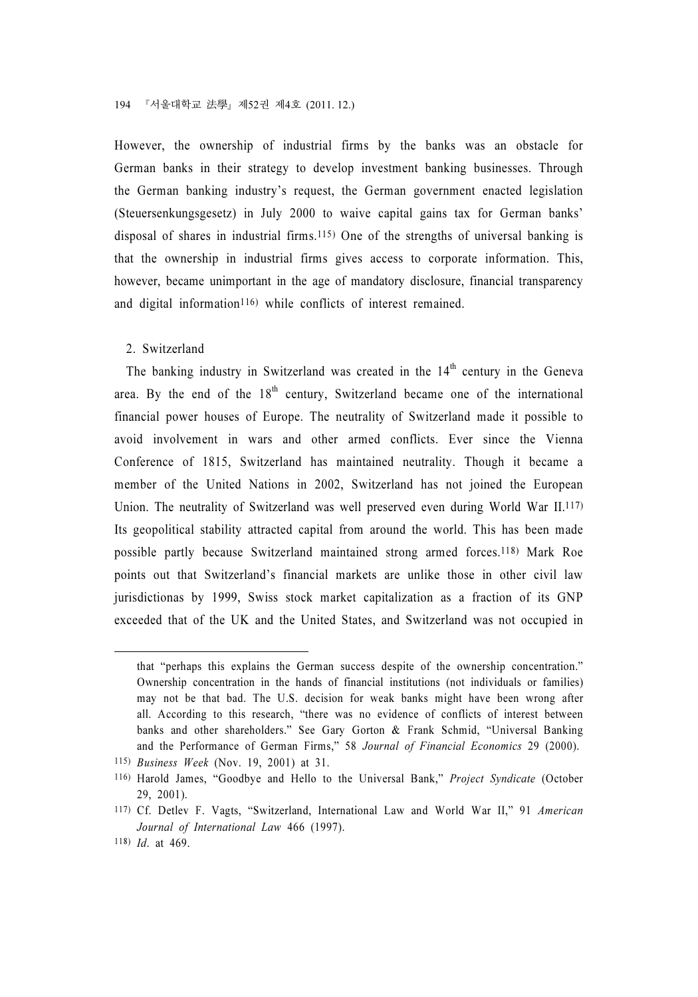However, the ownership of industrial firms by the banks was an obstacle for German banks in their strategy to develop investment banking businesses. Through the German banking industry's request, the German government enacted legislation (Steuersenkungsgesetz) in July 2000 to waive capital gains tax for German banks' disposal of shares in industrial firms.115) One of the strengths of universal banking is that the ownership in industrial firms gives access to corporate information. This, however, became unimportant in the age of mandatory disclosure, financial transparency and digital information<sup>116)</sup> while conflicts of interest remained.

#### 2. Switzerland

The banking industry in Switzerland was created in the  $14<sup>th</sup>$  century in the Geneva area. By the end of the  $18<sup>th</sup>$  century, Switzerland became one of the international financial power houses of Europe. The neutrality of Switzerland made it possible to avoid involvement in wars and other armed conflicts. Ever since the Vienna Conference of 1815, Switzerland has maintained neutrality. Though it became a member of the United Nations in 2002, Switzerland has not joined the European Union. The neutrality of Switzerland was well preserved even during World War II.117) Its geopolitical stability attracted capital from around the world. This has been made possible partly because Switzerland maintained strong armed forces.118) Mark Roe points out that Switzerland's financial markets are unlike those in other civil law jurisdictionas by 1999, Swiss stock market capitalization as a fraction of its GNP exceeded that of the UK and the United States, and Switzerland was not occupied in

that "perhaps this explains the German success despite of the ownership concentration." Ownership concentration in the hands of financial institutions (not individuals or families) may not be that bad. The U.S. decision for weak banks might have been wrong after all. According to this research, "there was no evidence of conflicts of interest between banks and other shareholders." See Gary Gorton & Frank Schmid, "Universal Banking and the Performance of German Firms," 58 Journal of Financial Economics 29 (2000).

<sup>115)</sup> Business Week (Nov. 19, 2001) at 31.

<sup>116)</sup> Harold James, "Goodbye and Hello to the Universal Bank," Project Syndicate (October 29, 2001).

<sup>117)</sup> Cf. Detlev F. Vagts, "Switzerland, International Law and World War II," 91 American Journal of International Law 466 (1997).

<sup>118)</sup> Id. at 469.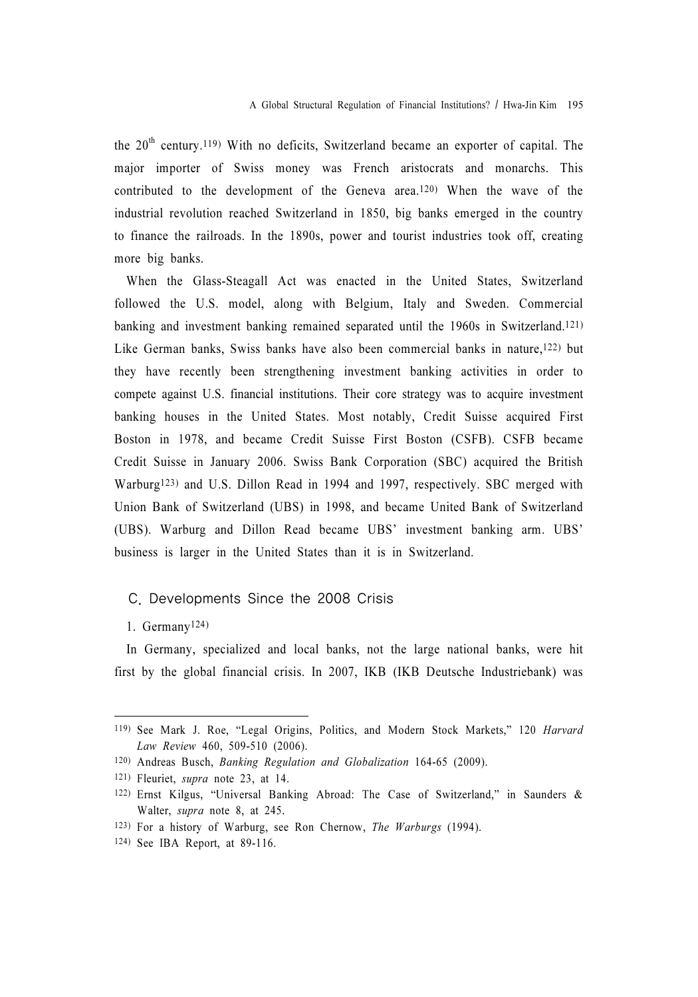the  $20<sup>th</sup>$  century.<sup>119</sup>) With no deficits, Switzerland became an exporter of capital. The major importer of Swiss money was French aristocrats and monarchs. This contributed to the development of the Geneva area.120) When the wave of the industrial revolution reached Switzerland in 1850, big banks emerged in the country to finance the railroads. In the 1890s, power and tourist industries took off, creating more big banks.

When the Glass-Steagall Act was enacted in the United States, Switzerland followed the U.S. model, along with Belgium, Italy and Sweden. Commercial banking and investment banking remained separated until the 1960s in Switzerland.121) Like German banks, Swiss banks have also been commercial banks in nature,122) but they have recently been strengthening investment banking activities in order to compete against U.S. financial institutions. Their core strategy was to acquire investment banking houses in the United States. Most notably, Credit Suisse acquired First Boston in 1978, and became Credit Suisse First Boston (CSFB). CSFB became Credit Suisse in January 2006. Swiss Bank Corporation (SBC) acquired the British Warburg123) and U.S. Dillon Read in 1994 and 1997, respectively. SBC merged with Union Bank of Switzerland (UBS) in 1998, and became United Bank of Switzerland (UBS). Warburg and Dillon Read became UBS' investment banking arm. UBS' business is larger in the United States than it is in Switzerland.

#### C. Developments Since the 2008 Crisis

#### 1. Germany124)

In Germany, specialized and local banks, not the large national banks, were hit first by the global financial crisis. In 2007, IKB (IKB Deutsche Industriebank) was

<sup>119)</sup> See Mark J. Roe, "Legal Origins, Politics, and Modern Stock Markets," 120 Harvard Law Review 460, 509-510 (2006).

<sup>120)</sup> Andreas Busch, Banking Regulation and Globalization 164-65 (2009).

<sup>121)</sup> Fleuriet, supra note 23, at 14.

<sup>122)</sup> Ernst Kilgus, "Universal Banking Abroad: The Case of Switzerland," in Saunders & Walter, supra note 8, at 245.

<sup>123)</sup> For a history of Warburg, see Ron Chernow, The Warburgs (1994).

<sup>124)</sup> See IBA Report, at 89-116.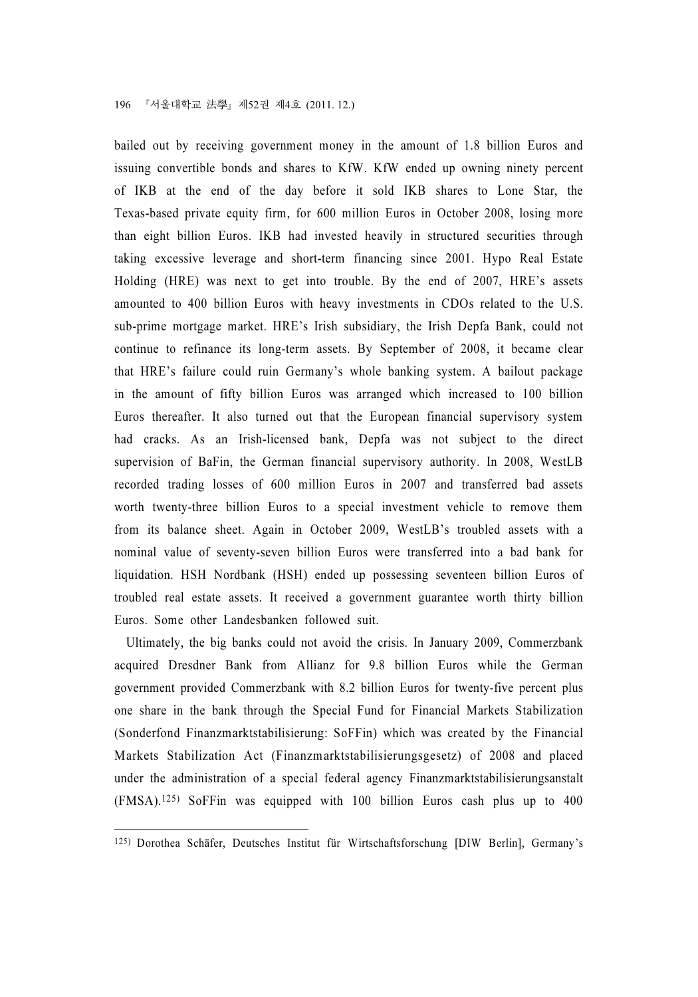bailed out by receiving government money in the amount of 1.8 billion Euros and issuing convertible bonds and shares to KfW. KfW ended up owning ninety percent of IKB at the end of the day before it sold IKB shares to Lone Star, the Texas-based private equity firm, for 600 million Euros in October 2008, losing more than eight billion Euros. IKB had invested heavily in structured securities through taking excessive leverage and short-term financing since 2001. Hypo Real Estate Holding (HRE) was next to get into trouble. By the end of 2007, HRE's assets amounted to 400 billion Euros with heavy investments in CDOs related to the U.S. sub-prime mortgage market. HRE's Irish subsidiary, the Irish Depfa Bank, could not continue to refinance its long-term assets. By September of 2008, it became clear that HRE's failure could ruin Germany's whole banking system. A bailout package in the amount of fifty billion Euros was arranged which increased to 100 billion Euros thereafter. It also turned out that the European financial supervisory system had cracks. As an Irish-licensed bank, Depfa was not subject to the direct supervision of BaFin, the German financial supervisory authority. In 2008, WestLB recorded trading losses of 600 million Euros in 2007 and transferred bad assets worth twenty-three billion Euros to a special investment vehicle to remove them from its balance sheet. Again in October 2009, WestLB's troubled assets with a nominal value of seventy-seven billion Euros were transferred into a bad bank for liquidation. HSH Nordbank (HSH) ended up possessing seventeen billion Euros of troubled real estate assets. It received a government guarantee worth thirty billion Euros. Some other Landesbanken followed suit.

Ultimately, the big banks could not avoid the crisis. In January 2009, Commerzbank acquired Dresdner Bank from Allianz for 9.8 billion Euros while the German government provided Commerzbank with 8.2 billion Euros for twenty-five percent plus one share in the bank through the Special Fund for Financial Markets Stabilization (Sonderfond Finanzmarktstabilisierung: SoFFin) which was created by the Financial Markets Stabilization Act (Finanzmarktstabilisierungsgesetz) of 2008 and placed under the administration of a special federal agency Finanzmarktstabilisierungsanstalt (FMSA).125) SoFFin was equipped with 100 billion Euros cash plus up to 400

<sup>125)</sup> Dorothea Schäfer, Deutsches Institut für Wirtschaftsforschung [DIW Berlin], Germany's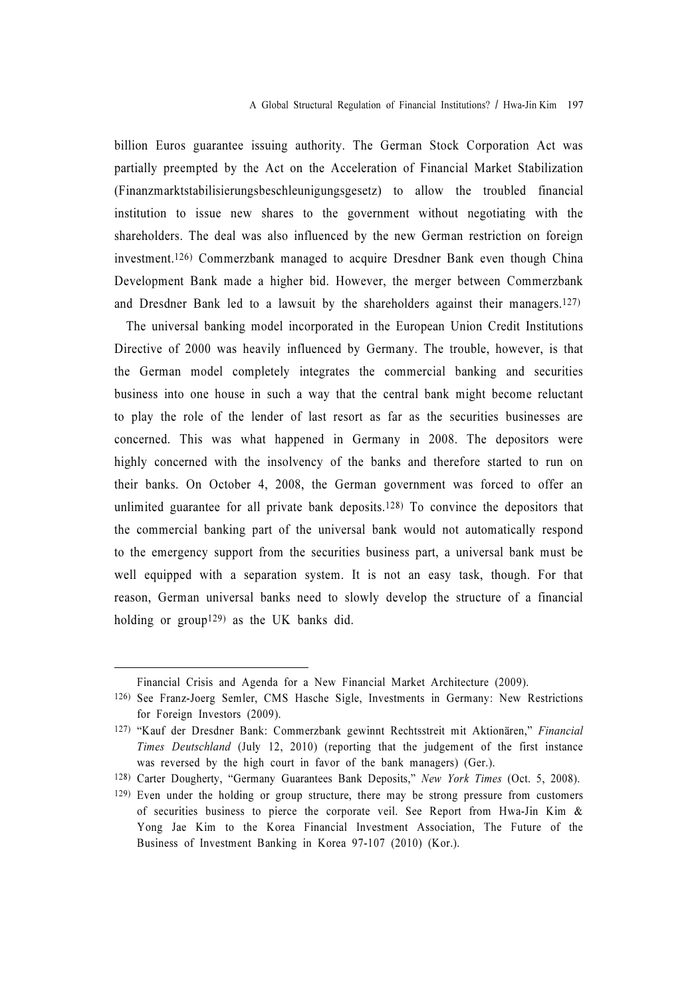billion Euros guarantee issuing authority. The German Stock Corporation Act was partially preempted by the Act on the Acceleration of Financial Market Stabilization (Finanzmarktstabilisierungsbeschleunigungsgesetz) to allow the troubled financial institution to issue new shares to the government without negotiating with the shareholders. The deal was also influenced by the new German restriction on foreign investment.126) Commerzbank managed to acquire Dresdner Bank even though China Development Bank made a higher bid. However, the merger between Commerzbank and Dresdner Bank led to a lawsuit by the shareholders against their managers.127)

The universal banking model incorporated in the European Union Credit Institutions Directive of 2000 was heavily influenced by Germany. The trouble, however, is that the German model completely integrates the commercial banking and securities business into one house in such a way that the central bank might become reluctant to play the role of the lender of last resort as far as the securities businesses are concerned. This was what happened in Germany in 2008. The depositors were highly concerned with the insolvency of the banks and therefore started to run on their banks. On October 4, 2008, the German government was forced to offer an unlimited guarantee for all private bank deposits.128) To convince the depositors that the commercial banking part of the universal bank would not automatically respond to the emergency support from the securities business part, a universal bank must be well equipped with a separation system. It is not an easy task, though. For that reason, German universal banks need to slowly develop the structure of a financial holding or group<sup>129</sup> as the UK banks did.

Financial Crisis and Agenda for a New Financial Market Architecture (2009).

<sup>126)</sup> See Franz-Joerg Semler, CMS Hasche Sigle, Investments in Germany: New Restrictions for Foreign Investors (2009).

<sup>127)</sup> "Kauf der Dresdner Bank: Commerzbank gewinnt Rechtsstreit mit Aktionären," Financial Times Deutschland (July 12, 2010) (reporting that the judgement of the first instance was reversed by the high court in favor of the bank managers) (Ger.).

<sup>128)</sup> Carter Dougherty, "Germany Guarantees Bank Deposits," New York Times (Oct. 5, 2008).

<sup>129)</sup> Even under the holding or group structure, there may be strong pressure from customers of securities business to pierce the corporate veil. See Report from Hwa-Jin Kim & Yong Jae Kim to the Korea Financial Investment Association, The Future of the Business of Investment Banking in Korea 97-107 (2010) (Kor.).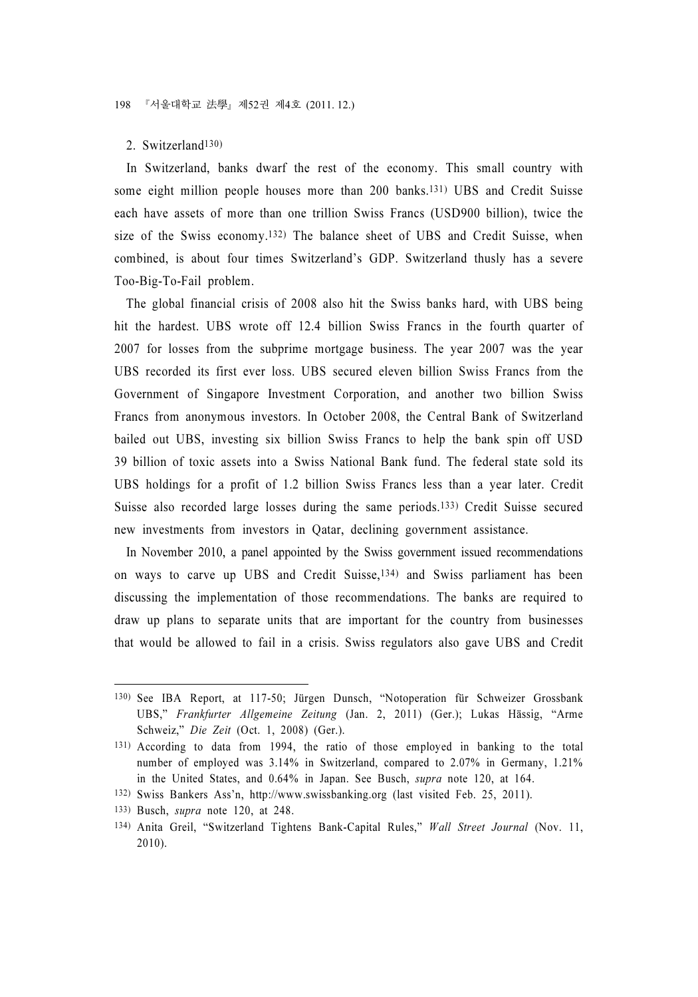#### 2. Switzerland130)

In Switzerland, banks dwarf the rest of the economy. This small country with some eight million people houses more than 200 banks.131) UBS and Credit Suisse each have assets of more than one trillion Swiss Francs (USD900 billion), twice the size of the Swiss economy.132) The balance sheet of UBS and Credit Suisse, when combined, is about four times Switzerland's GDP. Switzerland thusly has a severe Too-Big-To-Fail problem.

The global financial crisis of 2008 also hit the Swiss banks hard, with UBS being hit the hardest. UBS wrote off 12.4 billion Swiss Francs in the fourth quarter of 2007 for losses from the subprime mortgage business. The year 2007 was the year UBS recorded its first ever loss. UBS secured eleven billion Swiss Francs from the Government of Singapore Investment Corporation, and another two billion Swiss Francs from anonymous investors. In October 2008, the Central Bank of Switzerland bailed out UBS, investing six billion Swiss Francs to help the bank spin off USD 39 billion of toxic assets into a Swiss National Bank fund. The federal state sold its UBS holdings for a profit of 1.2 billion Swiss Francs less than a year later. Credit Suisse also recorded large losses during the same periods.133) Credit Suisse secured new investments from investors in Qatar, declining government assistance.

In November 2010, a panel appointed by the Swiss government issued recommendations on ways to carve up UBS and Credit Suisse,134) and Swiss parliament has been discussing the implementation of those recommendations. The banks are required to draw up plans to separate units that are important for the country from businesses that would be allowed to fail in a crisis. Swiss regulators also gave UBS and Credit

<sup>130)</sup> See IBA Report, at 117-50; Jürgen Dunsch, "Notoperation für Schweizer Grossbank UBS," Frankfurter Allgemeine Zeitung (Jan. 2, 2011) (Ger.); Lukas Hässig, "Arme Schweiz," Die Zeit (Oct. 1, 2008) (Ger.).

<sup>131)</sup> According to data from 1994, the ratio of those employed in banking to the total number of employed was 3.14% in Switzerland, compared to 2.07% in Germany, 1.21% in the United States, and 0.64% in Japan. See Busch, supra note 120, at 164.

<sup>132)</sup> Swiss Bankers Ass'n, http://www.swissbanking.org (last visited Feb. 25, 2011).

<sup>133)</sup> Busch, supra note 120, at 248.

<sup>134)</sup> Anita Greil, "Switzerland Tightens Bank-Capital Rules," Wall Street Journal (Nov. 11, 2010).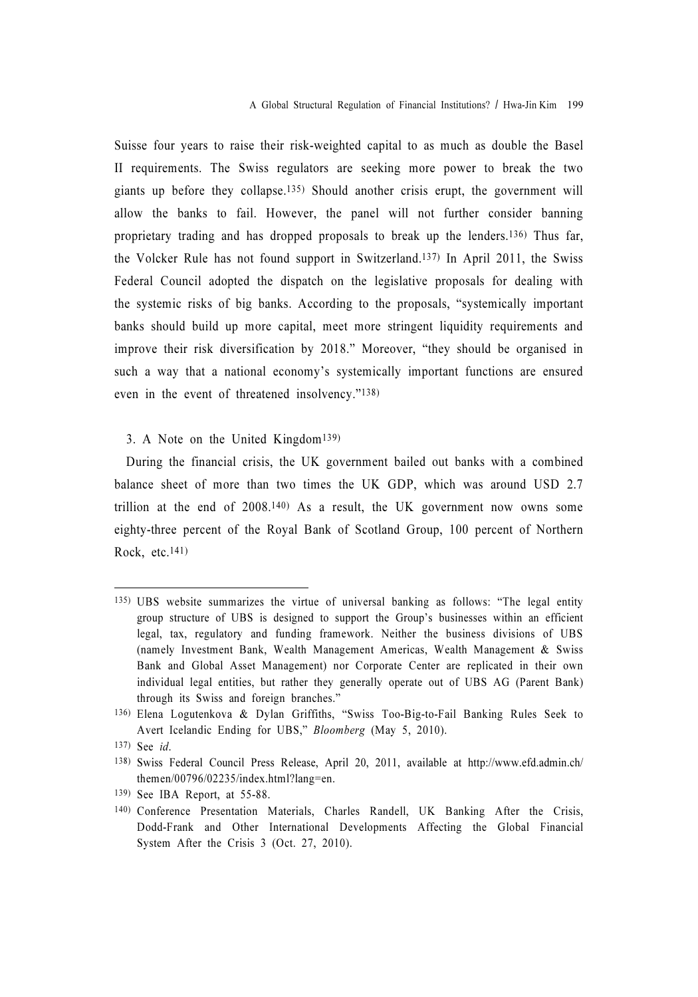Suisse four years to raise their risk-weighted capital to as much as double the Basel II requirements. The Swiss regulators are seeking more power to break the two giants up before they collapse.135) Should another crisis erupt, the government will allow the banks to fail. However, the panel will not further consider banning proprietary trading and has dropped proposals to break up the lenders.136) Thus far, the Volcker Rule has not found support in Switzerland.137) In April 2011, the Swiss Federal Council adopted the dispatch on the legislative proposals for dealing with the systemic risks of big banks. According to the proposals, "systemically important banks should build up more capital, meet more stringent liquidity requirements and improve their risk diversification by 2018." Moreover, "they should be organised in such a way that a national economy's systemically important functions are ensured even in the event of threatened insolvency."138)

#### 3. A Note on the United Kingdom139)

During the financial crisis, the UK government bailed out banks with a combined balance sheet of more than two times the UK GDP, which was around USD 2.7 trillion at the end of 2008.140) As a result, the UK government now owns some eighty-three percent of the Royal Bank of Scotland Group, 100 percent of Northern Rock, etc.141)

<sup>135)</sup> UBS website summarizes the virtue of universal banking as follows: "The legal entity group structure of UBS is designed to support the Group's businesses within an efficient legal, tax, regulatory and funding framework. Neither the business divisions of UBS (namely Investment Bank, Wealth Management Americas, Wealth Management & Swiss Bank and Global Asset Management) nor Corporate Center are replicated in their own individual legal entities, but rather they generally operate out of UBS AG (Parent Bank) through its Swiss and foreign branches."

<sup>136)</sup> Elena Logutenkova & Dylan Griffiths, "Swiss Too-Big-to-Fail Banking Rules Seek to Avert Icelandic Ending for UBS," Bloomberg (May 5, 2010).

<sup>137)</sup> See id.

<sup>138)</sup> Swiss Federal Council Press Release, April 20, 2011, available at http://www.efd.admin.ch/ themen/00796/02235/index.html?lang=en.

<sup>139)</sup> See IBA Report, at 55-88.

<sup>140)</sup> Conference Presentation Materials, Charles Randell, UK Banking After the Crisis, Dodd-Frank and Other International Developments Affecting the Global Financial System After the Crisis 3 (Oct. 27, 2010).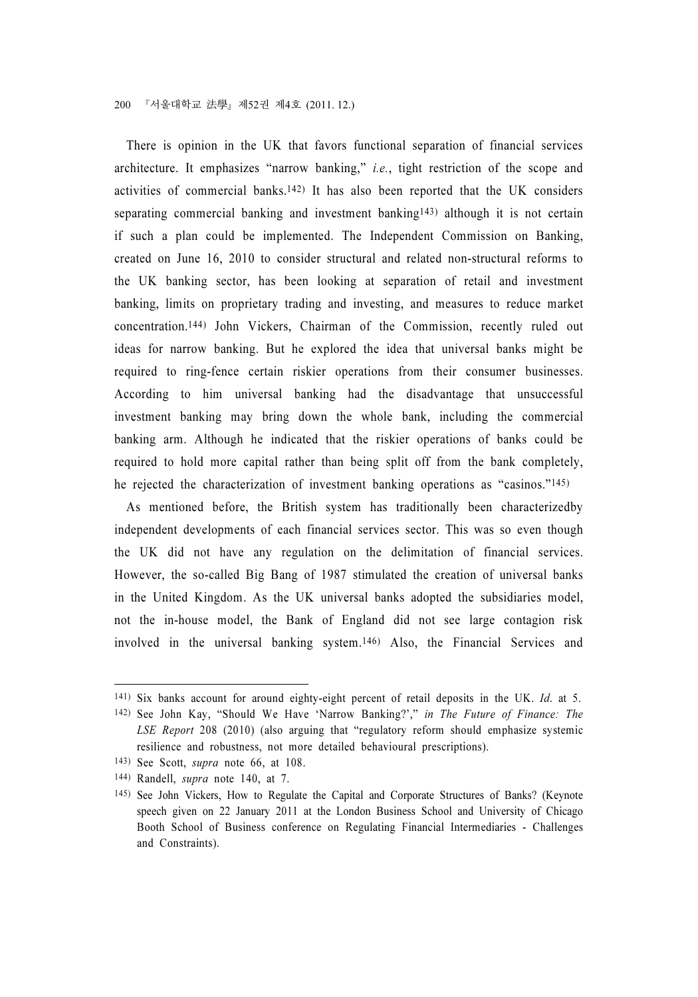There is opinion in the UK that favors functional separation of financial services architecture. It emphasizes "narrow banking," i.e., tight restriction of the scope and activities of commercial banks.142) It has also been reported that the UK considers separating commercial banking and investment banking<sup>143)</sup> although it is not certain if such a plan could be implemented. The Independent Commission on Banking, created on June 16, 2010 to consider structural and related non-structural reforms to the UK banking sector, has been looking at separation of retail and investment banking, limits on proprietary trading and investing, and measures to reduce market concentration.144) John Vickers, Chairman of the Commission, recently ruled out ideas for narrow banking. But he explored the idea that universal banks might be required to ring-fence certain riskier operations from their consumer businesses. According to him universal banking had the disadvantage that unsuccessful investment banking may bring down the whole bank, including the commercial banking arm. Although he indicated that the riskier operations of banks could be required to hold more capital rather than being split off from the bank completely, he rejected the characterization of investment banking operations as "casinos."145)

As mentioned before, the British system has traditionally been characterizedby independent developments of each financial services sector. This was so even though the UK did not have any regulation on the delimitation of financial services. However, the so-called Big Bang of 1987 stimulated the creation of universal banks in the United Kingdom. As the UK universal banks adopted the subsidiaries model, not the in-house model, the Bank of England did not see large contagion risk involved in the universal banking system.146) Also, the Financial Services and

<sup>141)</sup> Six banks account for around eighty-eight percent of retail deposits in the UK. Id. at 5.

<sup>142)</sup> See John Kay, "Should We Have 'Narrow Banking?'," in The Future of Finance: The LSE Report 208 (2010) (also arguing that "regulatory reform should emphasize systemic resilience and robustness, not more detailed behavioural prescriptions).

<sup>143)</sup> See Scott, supra note 66, at 108.

<sup>144)</sup> Randell, supra note 140, at 7.

<sup>145)</sup> See John Vickers, How to Regulate the Capital and Corporate Structures of Banks? (Keynote speech given on 22 January 2011 at the London Business School and University of Chicago Booth School of Business conference on Regulating Financial Intermediaries - Challenges and Constraints).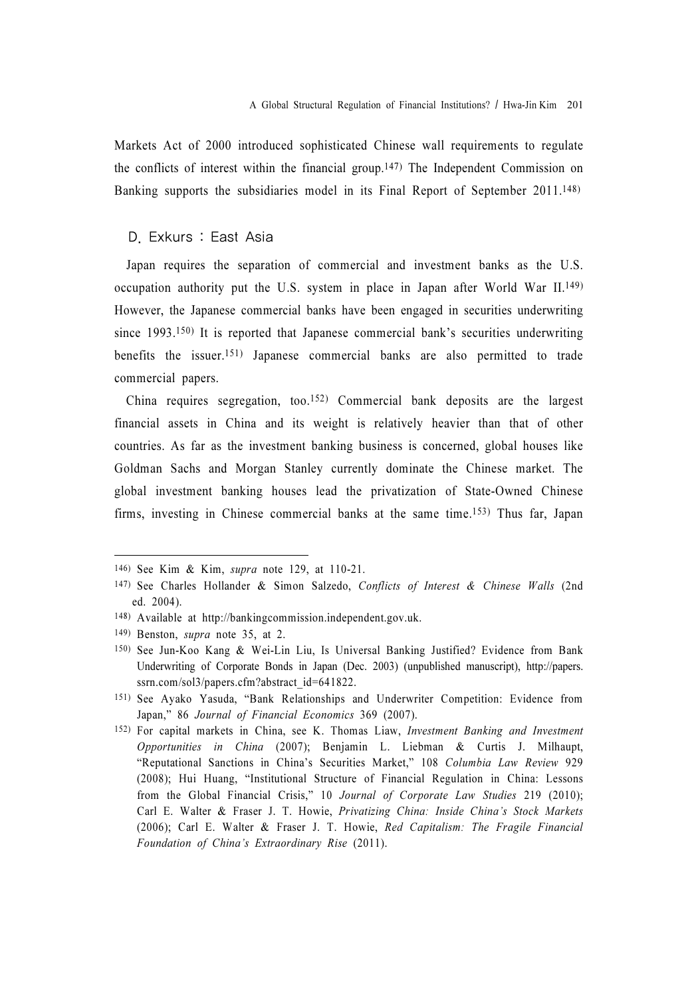Markets Act of 2000 introduced sophisticated Chinese wall requirements to regulate the conflicts of interest within the financial group.147) The Independent Commission on Banking supports the subsidiaries model in its Final Report of September 2011.148)

#### D. Exkurs : East Asia

Japan requires the separation of commercial and investment banks as the U.S. occupation authority put the U.S. system in place in Japan after World War II.149) However, the Japanese commercial banks have been engaged in securities underwriting since 1993.<sup>150)</sup> It is reported that Japanese commercial bank's securities underwriting benefits the issuer.151) Japanese commercial banks are also permitted to trade commercial papers.

China requires segregation, too.152) Commercial bank deposits are the largest financial assets in China and its weight is relatively heavier than that of other countries. As far as the investment banking business is concerned, global houses like Goldman Sachs and Morgan Stanley currently dominate the Chinese market. The global investment banking houses lead the privatization of State-Owned Chinese firms, investing in Chinese commercial banks at the same time.153) Thus far, Japan

<sup>146)</sup> See Kim & Kim, supra note 129, at 110-21.

<sup>147)</sup> See Charles Hollander & Simon Salzedo, Conflicts of Interest & Chinese Walls (2nd ed. 2004).

<sup>148)</sup> Available at http://bankingcommission.independent.gov.uk.

<sup>149)</sup> Benston, supra note 35, at 2.

<sup>150)</sup> See Jun-Koo Kang & Wei-Lin Liu, Is Universal Banking Justified? Evidence from Bank Underwriting of Corporate Bonds in Japan (Dec. 2003) (unpublished manuscript), http://papers. ssrn.com/sol3/papers.cfm?abstract\_id=641822.

<sup>151)</sup> See Ayako Yasuda, "Bank Relationships and Underwriter Competition: Evidence from Japan," 86 Journal of Financial Economics 369 (2007).

<sup>152)</sup> For capital markets in China, see K. Thomas Liaw, Investment Banking and Investment Opportunities in China (2007); Benjamin L. Liebman & Curtis J. Milhaupt, "Reputational Sanctions in China's Securities Market," 108 Columbia Law Review 929 (2008); Hui Huang, "Institutional Structure of Financial Regulation in China: Lessons from the Global Financial Crisis," 10 Journal of Corporate Law Studies 219 (2010); Carl E. Walter & Fraser J. T. Howie, Privatizing China: Inside China's Stock Markets (2006); Carl E. Walter & Fraser J. T. Howie, Red Capitalism: The Fragile Financial Foundation of China's Extraordinary Rise (2011).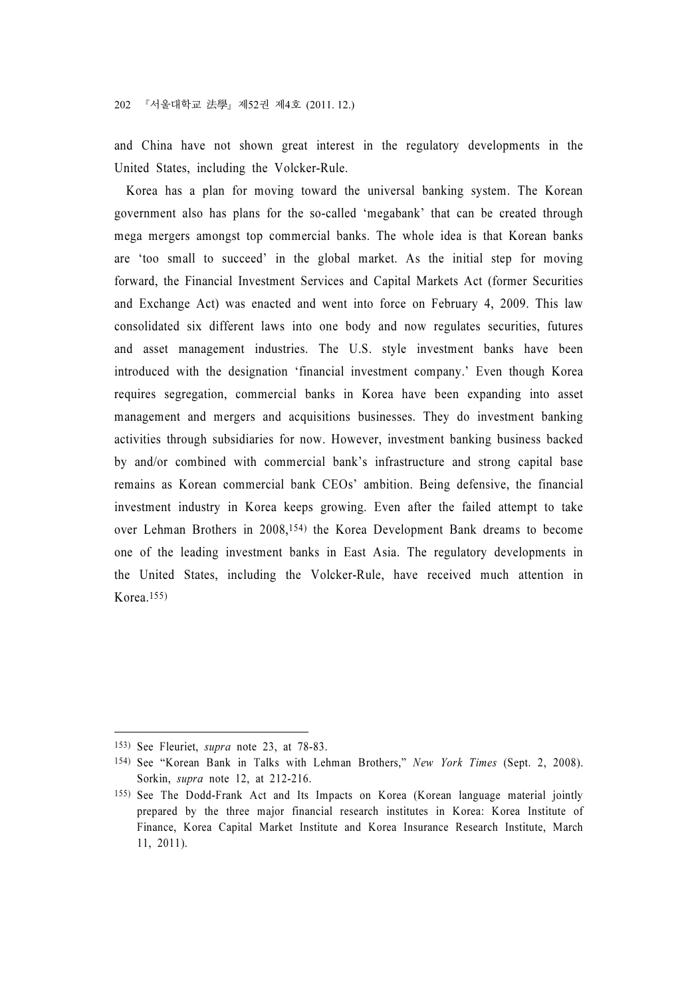and China have not shown great interest in the regulatory developments in the United States, including the Volcker-Rule.

Korea has a plan for moving toward the universal banking system. The Korean government also has plans for the so-called 'megabank' that can be created through mega mergers amongst top commercial banks. The whole idea is that Korean banks are 'too small to succeed' in the global market. As the initial step for moving forward, the Financial Investment Services and Capital Markets Act (former Securities and Exchange Act) was enacted and went into force on February 4, 2009. This law consolidated six different laws into one body and now regulates securities, futures and asset management industries. The U.S. style investment banks have been introduced with the designation 'financial investment company.' Even though Korea requires segregation, commercial banks in Korea have been expanding into asset management and mergers and acquisitions businesses. They do investment banking activities through subsidiaries for now. However, investment banking business backed by and/or combined with commercial bank's infrastructure and strong capital base remains as Korean commercial bank CEOs' ambition. Being defensive, the financial investment industry in Korea keeps growing. Even after the failed attempt to take over Lehman Brothers in 2008,154) the Korea Development Bank dreams to become one of the leading investment banks in East Asia. The regulatory developments in the United States, including the Volcker-Rule, have received much attention in Korea.155)

<sup>153)</sup> See Fleuriet, supra note 23, at 78-83.

<sup>154)</sup> See "Korean Bank in Talks with Lehman Brothers," New York Times (Sept. 2, 2008). Sorkin, supra note 12, at 212-216.

<sup>155)</sup> See The Dodd-Frank Act and Its Impacts on Korea (Korean language material jointly prepared by the three major financial research institutes in Korea: Korea Institute of Finance, Korea Capital Market Institute and Korea Insurance Research Institute, March 11, 2011).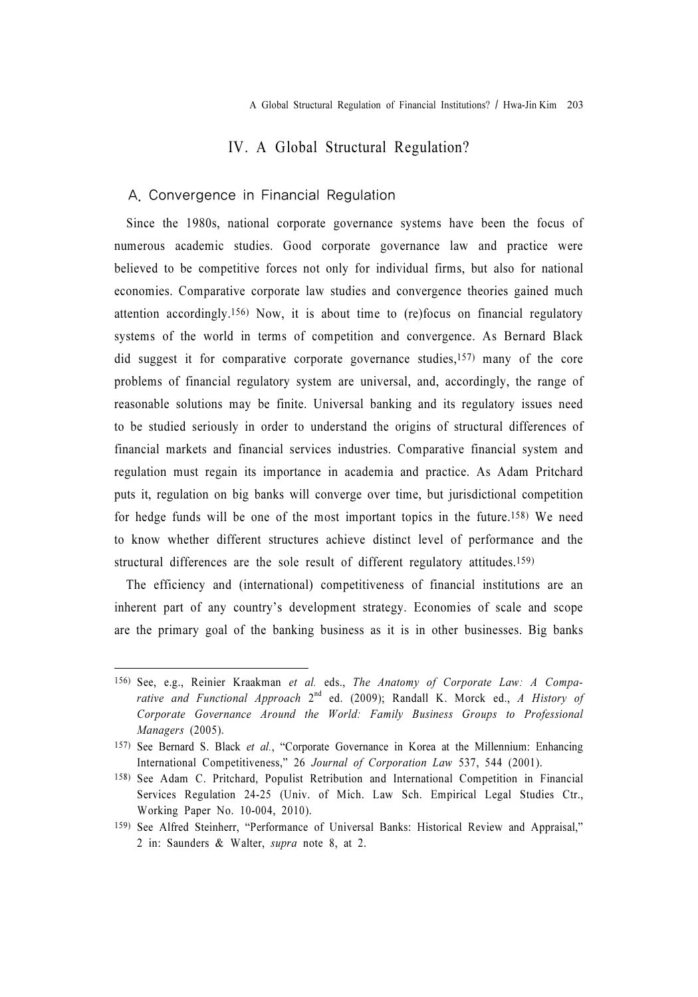# IV. A Global Structural Regulation?

#### A. Convergence in Financial Regulation

Since the 1980s, national corporate governance systems have been the focus of numerous academic studies. Good corporate governance law and practice were believed to be competitive forces not only for individual firms, but also for national economies. Comparative corporate law studies and convergence theories gained much attention accordingly.156) Now, it is about time to (re)focus on financial regulatory systems of the world in terms of competition and convergence. As Bernard Black did suggest it for comparative corporate governance studies,157) many of the core problems of financial regulatory system are universal, and, accordingly, the range of reasonable solutions may be finite. Universal banking and its regulatory issues need to be studied seriously in order to understand the origins of structural differences of financial markets and financial services industries. Comparative financial system and regulation must regain its importance in academia and practice. As Adam Pritchard puts it, regulation on big banks will converge over time, but jurisdictional competition for hedge funds will be one of the most important topics in the future.158) We need to know whether different structures achieve distinct level of performance and the structural differences are the sole result of different regulatory attitudes.159)

The efficiency and (international) competitiveness of financial institutions are an inherent part of any country's development strategy. Economies of scale and scope are the primary goal of the banking business as it is in other businesses. Big banks

<sup>156)</sup> See, e.g., Reinier Kraakman et al. eds., The Anatomy of Corporate Law: A Comparative and Functional Approach  $2^{nd}$  ed. (2009); Randall K. Morck ed., A History of Corporate Governance Around the World: Family Business Groups to Professional Managers (2005).

<sup>157)</sup> See Bernard S. Black et al., "Corporate Governance in Korea at the Millennium: Enhancing International Competitiveness," 26 Journal of Corporation Law 537, 544 (2001).

<sup>158)</sup> See Adam C. Pritchard, Populist Retribution and International Competition in Financial Services Regulation 24-25 (Univ. of Mich. Law Sch. Empirical Legal Studies Ctr., Working Paper No. 10-004, 2010).

<sup>159)</sup> See Alfred Steinherr, "Performance of Universal Banks: Historical Review and Appraisal," 2 in: Saunders & Walter, supra note 8, at 2.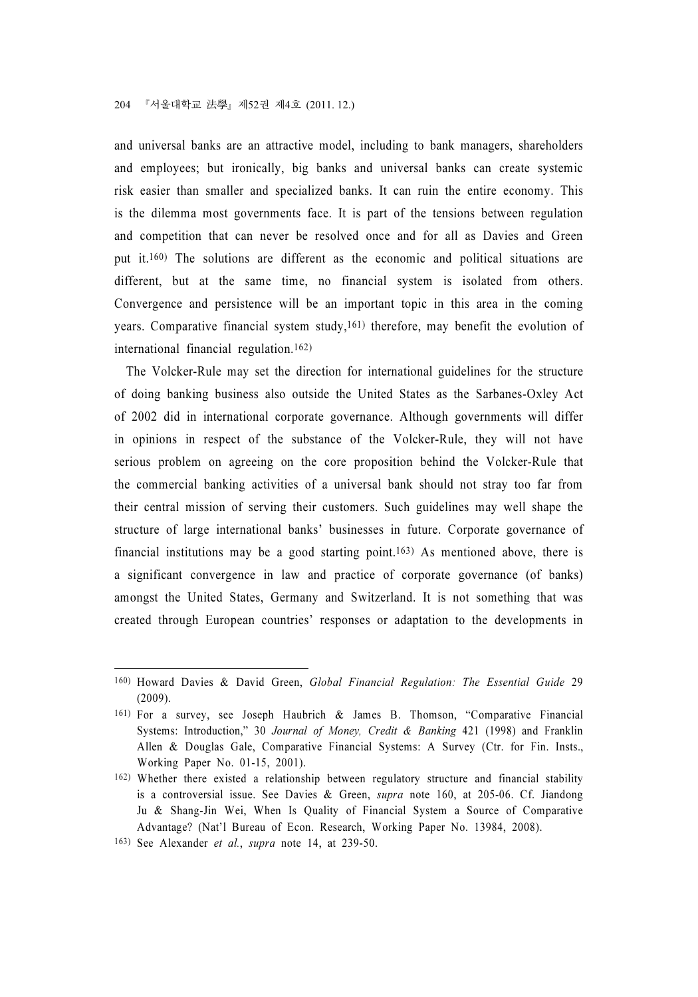and universal banks are an attractive model, including to bank managers, shareholders and employees; but ironically, big banks and universal banks can create systemic risk easier than smaller and specialized banks. It can ruin the entire economy. This is the dilemma most governments face. It is part of the tensions between regulation and competition that can never be resolved once and for all as Davies and Green put it.160) The solutions are different as the economic and political situations are different, but at the same time, no financial system is isolated from others. Convergence and persistence will be an important topic in this area in the coming years. Comparative financial system study,<sup>161)</sup> therefore, may benefit the evolution of international financial regulation.162)

The Volcker-Rule may set the direction for international guidelines for the structure of doing banking business also outside the United States as the Sarbanes-Oxley Act of 2002 did in international corporate governance. Although governments will differ in opinions in respect of the substance of the Volcker-Rule, they will not have serious problem on agreeing on the core proposition behind the Volcker-Rule that the commercial banking activities of a universal bank should not stray too far from their central mission of serving their customers. Such guidelines may well shape the structure of large international banks' businesses in future. Corporate governance of financial institutions may be a good starting point.163) As mentioned above, there is a significant convergence in law and practice of corporate governance (of banks) amongst the United States, Germany and Switzerland. It is not something that was created through European countries' responses or adaptation to the developments in

<sup>160)</sup> Howard Davies & David Green, Global Financial Regulation: The Essential Guide 29 (2009).

<sup>161)</sup> For a survey, see Joseph Haubrich & James B. Thomson, "Comparative Financial Systems: Introduction," 30 Journal of Money, Credit & Banking 421 (1998) and Franklin Allen & Douglas Gale, Comparative Financial Systems: A Survey (Ctr. for Fin. Insts., Working Paper No. 01-15, 2001).

<sup>162)</sup> Whether there existed a relationship between regulatory structure and financial stability is a controversial issue. See Davies & Green, supra note 160, at 205-06. Cf. Jiandong Ju & Shang-Jin Wei, When Is Quality of Financial System a Source of Comparative Advantage? (Nat'l Bureau of Econ. Research, Working Paper No. 13984, 2008).

<sup>163)</sup> See Alexander et al., supra note 14, at 239-50.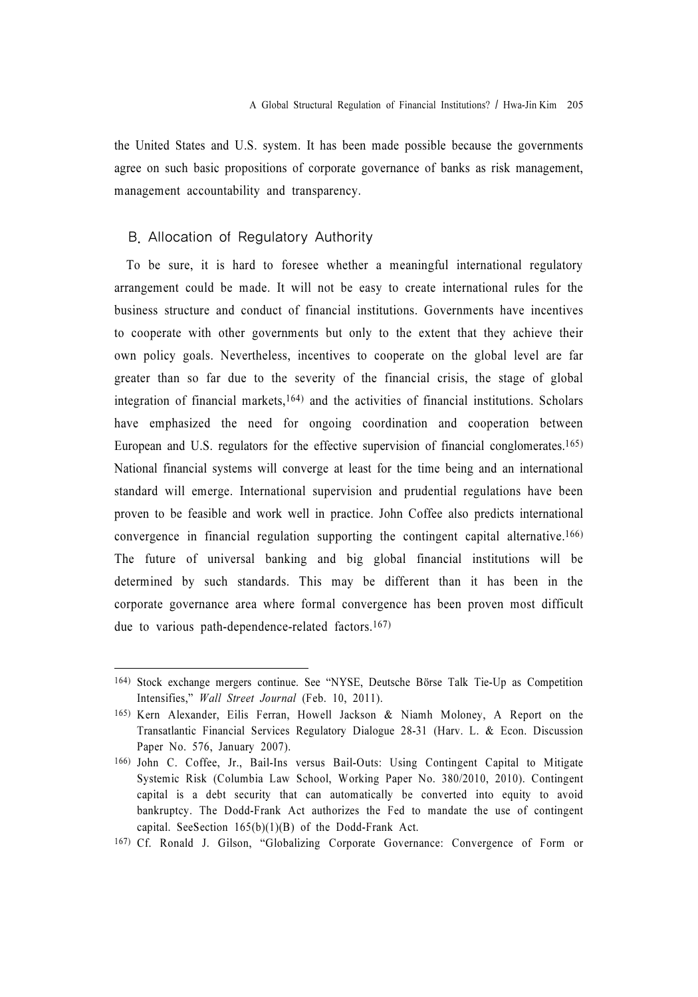the United States and U.S. system. It has been made possible because the governments agree on such basic propositions of corporate governance of banks as risk management, management accountability and transparency.

#### B. Allocation of Regulatory Authority

To be sure, it is hard to foresee whether a meaningful international regulatory arrangement could be made. It will not be easy to create international rules for the business structure and conduct of financial institutions. Governments have incentives to cooperate with other governments but only to the extent that they achieve their own policy goals. Nevertheless, incentives to cooperate on the global level are far greater than so far due to the severity of the financial crisis, the stage of global integration of financial markets,164) and the activities of financial institutions. Scholars have emphasized the need for ongoing coordination and cooperation between European and U.S. regulators for the effective supervision of financial conglomerates.165) National financial systems will converge at least for the time being and an international standard will emerge. International supervision and prudential regulations have been proven to be feasible and work well in practice. John Coffee also predicts international convergence in financial regulation supporting the contingent capital alternative.166) The future of universal banking and big global financial institutions will be determined by such standards. This may be different than it has been in the corporate governance area where formal convergence has been proven most difficult due to various path-dependence-related factors.167)

<sup>164)</sup> Stock exchange mergers continue. See "NYSE, Deutsche Börse Talk Tie-Up as Competition Intensifies," Wall Street Journal (Feb. 10, 2011).

<sup>165)</sup> Kern Alexander, Eilis Ferran, Howell Jackson & Niamh Moloney, A Report on the Transatlantic Financial Services Regulatory Dialogue 28-31 (Harv. L. & Econ. Discussion Paper No. 576, January 2007).

<sup>166)</sup> John C. Coffee, Jr., Bail-Ins versus Bail-Outs: Using Contingent Capital to Mitigate Systemic Risk (Columbia Law School, Working Paper No. 380/2010, 2010). Contingent capital is a debt security that can automatically be converted into equity to avoid bankruptcy. The Dodd-Frank Act authorizes the Fed to mandate the use of contingent capital. SeeSection 165(b)(1)(B) of the Dodd-Frank Act.

<sup>167)</sup> Cf. Ronald J. Gilson, "Globalizing Corporate Governance: Convergence of Form or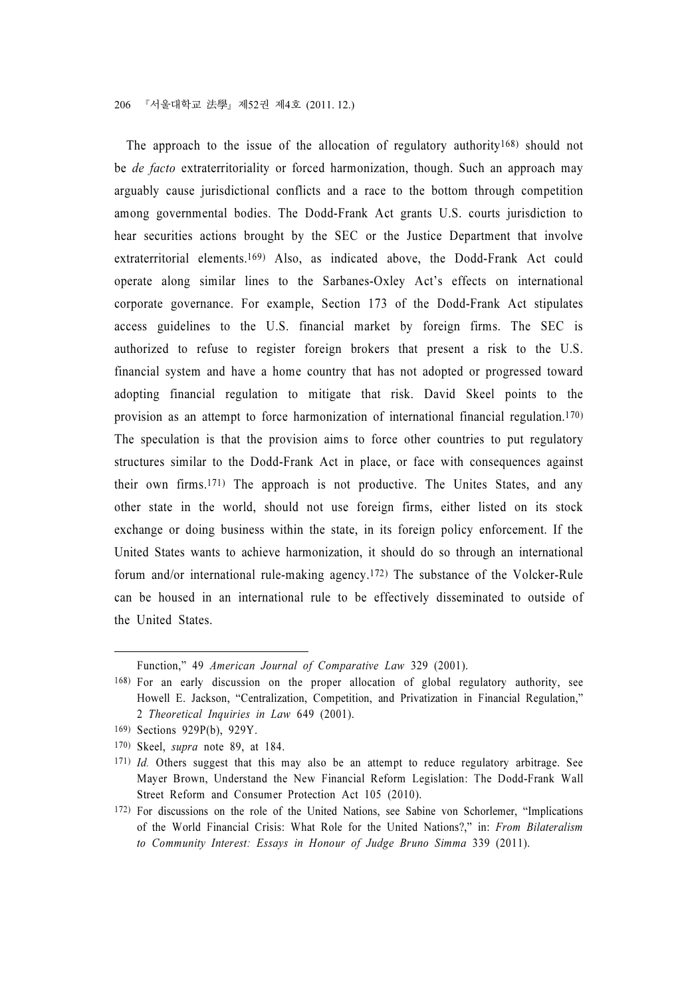The approach to the issue of the allocation of regulatory authority<sup>168</sup>) should not be *de facto* extraterritoriality or forced harmonization, though. Such an approach may arguably cause jurisdictional conflicts and a race to the bottom through competition among governmental bodies. The Dodd-Frank Act grants U.S. courts jurisdiction to hear securities actions brought by the SEC or the Justice Department that involve extraterritorial elements.<sup>169)</sup> Also, as indicated above, the Dodd-Frank Act could operate along similar lines to the Sarbanes-Oxley Act's effects on international corporate governance. For example, Section 173 of the Dodd-Frank Act stipulates access guidelines to the U.S. financial market by foreign firms. The SEC is authorized to refuse to register foreign brokers that present a risk to the U.S. financial system and have a home country that has not adopted or progressed toward adopting financial regulation to mitigate that risk. David Skeel points to the provision as an attempt to force harmonization of international financial regulation.170) The speculation is that the provision aims to force other countries to put regulatory structures similar to the Dodd-Frank Act in place, or face with consequences against their own firms.171) The approach is not productive. The Unites States, and any other state in the world, should not use foreign firms, either listed on its stock exchange or doing business within the state, in its foreign policy enforcement. If the United States wants to achieve harmonization, it should do so through an international forum and/or international rule-making agency.172) The substance of the Volcker-Rule can be housed in an international rule to be effectively disseminated to outside of the United States.

Function," 49 American Journal of Comparative Law 329 (2001).

<sup>168)</sup> For an early discussion on the proper allocation of global regulatory authority, see Howell E. Jackson, "Centralization, Competition, and Privatization in Financial Regulation," 2 Theoretical Inquiries in Law 649 (2001).

<sup>169)</sup> Sections 929P(b), 929Y.

<sup>170)</sup> Skeel, supra note 89, at 184.

<sup>171)</sup> Id. Others suggest that this may also be an attempt to reduce regulatory arbitrage. See Mayer Brown, Understand the New Financial Reform Legislation: The Dodd-Frank Wall Street Reform and Consumer Protection Act 105 (2010).

<sup>172)</sup> For discussions on the role of the United Nations, see Sabine von Schorlemer, "Implications of the World Financial Crisis: What Role for the United Nations?," in: From Bilateralism to Community Interest: Essays in Honour of Judge Bruno Simma 339 (2011).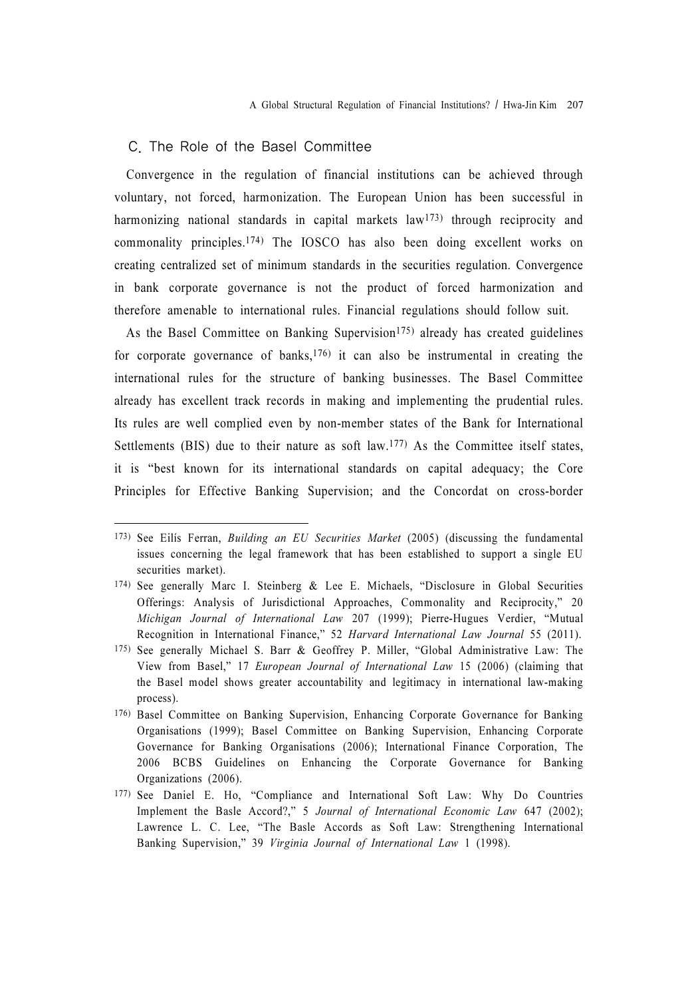#### C. The Role of the Basel Committee

Convergence in the regulation of financial institutions can be achieved through voluntary, not forced, harmonization. The European Union has been successful in harmonizing national standards in capital markets law<sup>173</sup>) through reciprocity and commonality principles.174) The IOSCO has also been doing excellent works on creating centralized set of minimum standards in the securities regulation. Convergence in bank corporate governance is not the product of forced harmonization and therefore amenable to international rules. Financial regulations should follow suit.

As the Basel Committee on Banking Supervision<sup>175</sup>) already has created guidelines for corporate governance of banks, $176$ ) it can also be instrumental in creating the international rules for the structure of banking businesses. The Basel Committee already has excellent track records in making and implementing the prudential rules. Its rules are well complied even by non-member states of the Bank for International Settlements (BIS) due to their nature as soft law.177) As the Committee itself states, it is "best known for its international standards on capital adequacy; the Core Principles for Effective Banking Supervision; and the Concordat on cross-border

<sup>173)</sup> See Eilís Ferran, Building an EU Securities Market (2005) (discussing the fundamental issues concerning the legal framework that has been established to support a single EU securities market).

<sup>174)</sup> See generally Marc I. Steinberg & Lee E. Michaels, "Disclosure in Global Securities Offerings: Analysis of Jurisdictional Approaches, Commonality and Reciprocity," 20 Michigan Journal of International Law 207 (1999); Pierre-Hugues Verdier, "Mutual Recognition in International Finance," 52 Harvard International Law Journal 55 (2011).

<sup>175)</sup> See generally Michael S. Barr & Geoffrey P. Miller, "Global Administrative Law: The View from Basel," 17 European Journal of International Law 15 (2006) (claiming that the Basel model shows greater accountability and legitimacy in international law-making process).

<sup>176)</sup> Basel Committee on Banking Supervision, Enhancing Corporate Governance for Banking Organisations (1999); Basel Committee on Banking Supervision, Enhancing Corporate Governance for Banking Organisations (2006); International Finance Corporation, The 2006 BCBS Guidelines on Enhancing the Corporate Governance for Banking Organizations (2006).

<sup>177)</sup> See Daniel E. Ho, "Compliance and International Soft Law: Why Do Countries Implement the Basle Accord?," 5 Journal of International Economic Law 647 (2002); Lawrence L. C. Lee, "The Basle Accords as Soft Law: Strengthening International Banking Supervision," 39 Virginia Journal of International Law 1 (1998).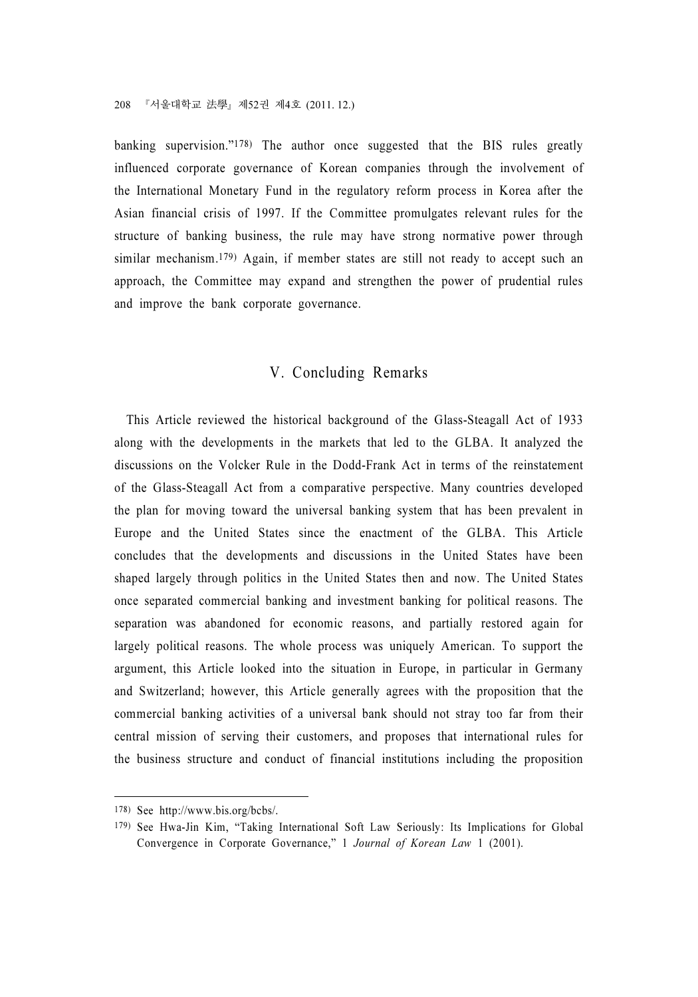banking supervision."178) The author once suggested that the BIS rules greatly influenced corporate governance of Korean companies through the involvement of the International Monetary Fund in the regulatory reform process in Korea after the Asian financial crisis of 1997. If the Committee promulgates relevant rules for the structure of banking business, the rule may have strong normative power through similar mechanism.<sup>179</sup>) Again, if member states are still not ready to accept such an approach, the Committee may expand and strengthen the power of prudential rules and improve the bank corporate governance.

### V. Concluding Remarks

This Article reviewed the historical background of the Glass-Steagall Act of 1933 along with the developments in the markets that led to the GLBA. It analyzed the discussions on the Volcker Rule in the Dodd-Frank Act in terms of the reinstatement of the Glass-Steagall Act from a comparative perspective. Many countries developed the plan for moving toward the universal banking system that has been prevalent in Europe and the United States since the enactment of the GLBA. This Article concludes that the developments and discussions in the United States have been shaped largely through politics in the United States then and now. The United States once separated commercial banking and investment banking for political reasons. The separation was abandoned for economic reasons, and partially restored again for largely political reasons. The whole process was uniquely American. To support the argument, this Article looked into the situation in Europe, in particular in Germany and Switzerland; however, this Article generally agrees with the proposition that the commercial banking activities of a universal bank should not stray too far from their central mission of serving their customers, and proposes that international rules for the business structure and conduct of financial institutions including the proposition

<sup>178)</sup> See http://www.bis.org/bcbs/.

<sup>179)</sup> See Hwa-Jin Kim, "Taking International Soft Law Seriously: Its Implications for Global Convergence in Corporate Governance," 1 Journal of Korean Law 1 (2001).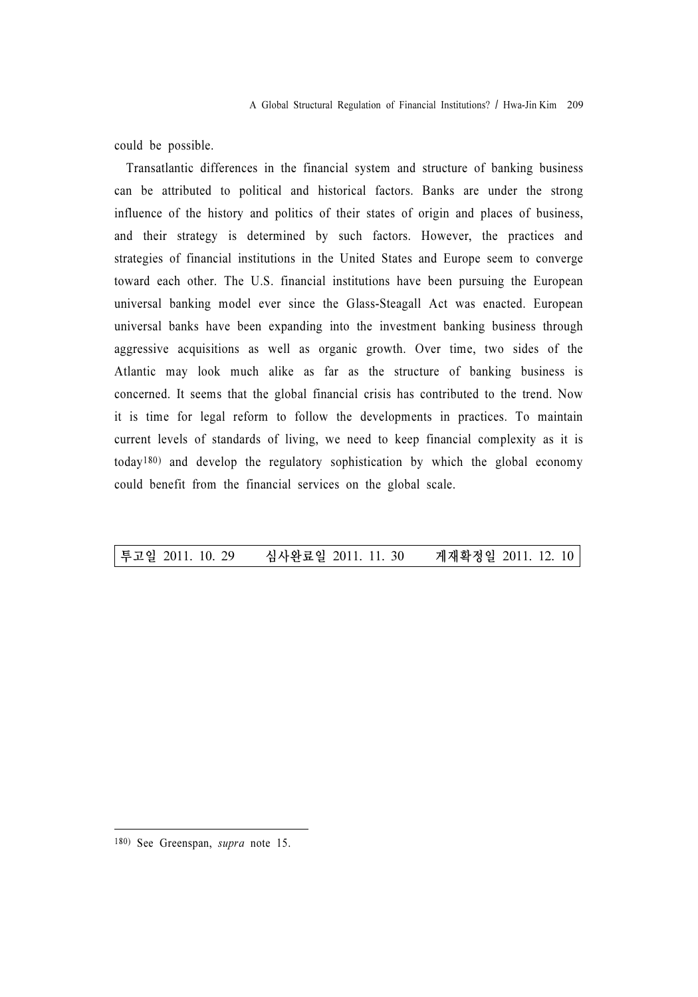could be possible.

Transatlantic differences in the financial system and structure of banking business can be attributed to political and historical factors. Banks are under the strong influence of the history and politics of their states of origin and places of business, and their strategy is determined by such factors. However, the practices and strategies of financial institutions in the United States and Europe seem to converge toward each other. The U.S. financial institutions have been pursuing the European universal banking model ever since the Glass-Steagall Act was enacted. European universal banks have been expanding into the investment banking business through aggressive acquisitions as well as organic growth. Over time, two sides of the Atlantic may look much alike as far as the structure of banking business is concerned. It seems that the global financial crisis has contributed to the trend. Now it is time for legal reform to follow the developments in practices. To maintain current levels of standards of living, we need to keep financial complexity as it is today180) and develop the regulatory sophistication by which the global economy could benefit from the financial services on the global scale.

#### 투고일 2011. 10. 29 심사완료일 2011. 11. 30 게재확정일 2011. 12. 10

<sup>180)</sup> See Greenspan, supra note 15.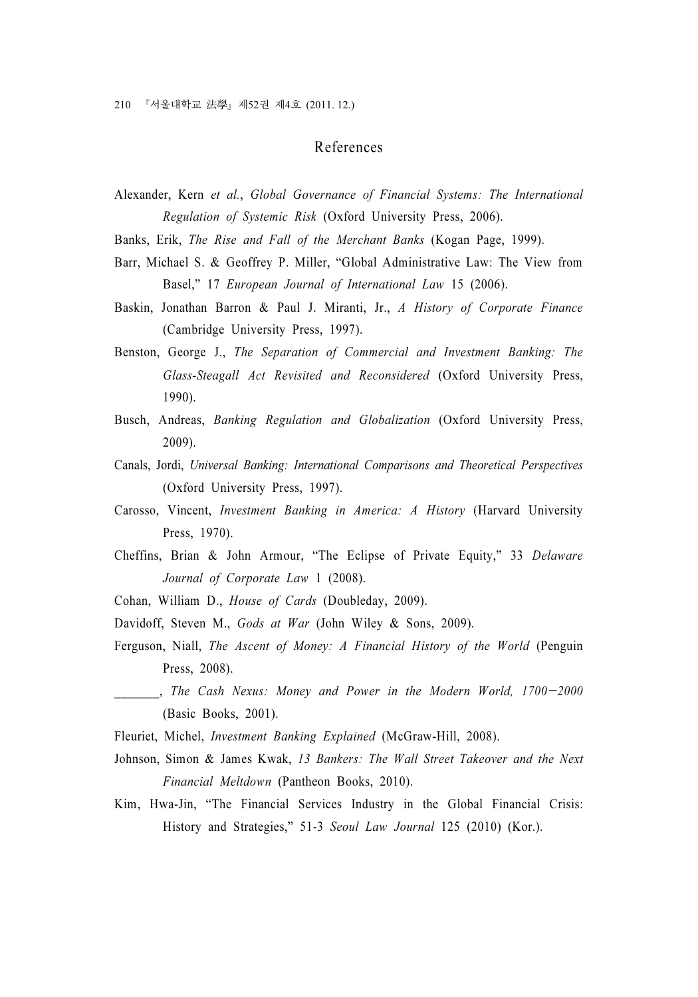# References

- Alexander, Kern et al., Global Governance of Financial Systems: The International Regulation of Systemic Risk (Oxford University Press, 2006).
- Banks, Erik, The Rise and Fall of the Merchant Banks (Kogan Page, 1999).
- Barr, Michael S. & Geoffrey P. Miller, "Global Administrative Law: The View from Basel," 17 European Journal of International Law 15 (2006).
- Baskin, Jonathan Barron & Paul J. Miranti, Jr., A History of Corporate Finance (Cambridge University Press, 1997).
- Benston, George J., The Separation of Commercial and Investment Banking: The Glass-Steagall Act Revisited and Reconsidered (Oxford University Press, 1990).
- Busch, Andreas, Banking Regulation and Globalization (Oxford University Press, 2009).
- Canals, Jordi, Universal Banking: International Comparisons and Theoretical Perspectives (Oxford University Press, 1997).
- Carosso, Vincent, Investment Banking in America: A History (Harvard University Press, 1970).
- Cheffins, Brian & John Armour, "The Eclipse of Private Equity," 33 Delaware Journal of Corporate Law 1 (2008).
- Cohan, William D., House of Cards (Doubleday, 2009).
- Davidoff, Steven M., Gods at War (John Wiley & Sons, 2009).
- Ferguson, Niall, The Ascent of Money: A Financial History of the World (Penguin Press, 2008). Cohan, William D., *House of Cards* (Doubleday, 2009).<br>
Davidoff, Steven M., *Gods at War* (John Wiley & Sons, 2009).<br>
Ferguson, Niall, *The Ascent of Money: A Financial History of the World* (Penguin<br>
Press, 2008).<br>
, *Th*
- (Basic Books, 2001).
- Fleuriet, Michel, Investment Banking Explained (McGraw-Hill, 2008).
- Johnson, Simon & James Kwak, 13 Bankers: The Wall Street Takeover and the Next Financial Meltdown (Pantheon Books, 2010).
- Kim, Hwa-Jin, "The Financial Services Industry in the Global Financial Crisis: History and Strategies," 51-3 Seoul Law Journal 125 (2010) (Kor.).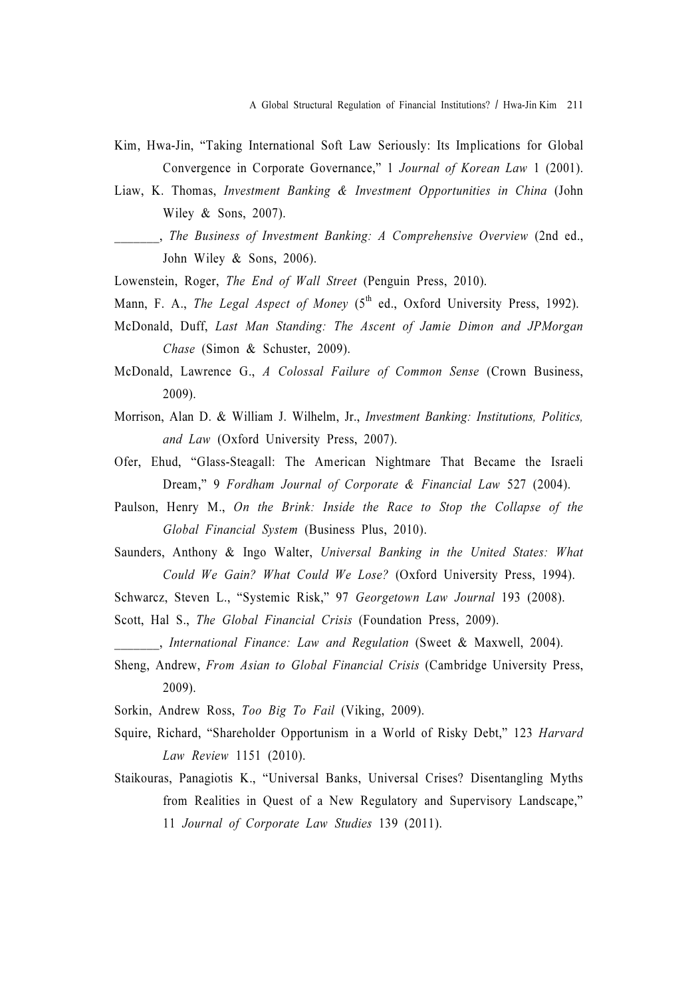- Kim, Hwa-Jin, "Taking International Soft Law Seriously: Its Implications for Global Convergence in Corporate Governance," 1 Journal of Korean Law 1 (2001).
- Liaw, K. Thomas, Investment Banking & Investment Opportunities in China (John Wiley & Sons, 2007).
- \_\_\_\_\_\_\_, The Business of Investment Banking: A Comprehensive Overview (2nd ed., John Wiley & Sons, 2006).
- Lowenstein, Roger, The End of Wall Street (Penguin Press, 2010).
- Mann, F. A., The Legal Aspect of Money  $(5<sup>th</sup>$  ed., Oxford University Press, 1992).
- McDonald, Duff, Last Man Standing: The Ascent of Jamie Dimon and JPMorgan Chase (Simon & Schuster, 2009).
- McDonald, Lawrence G., A Colossal Failure of Common Sense (Crown Business, 2009).
- Morrison, Alan D. & William J. Wilhelm, Jr., Investment Banking: Institutions, Politics, and Law (Oxford University Press, 2007).
- Ofer, Ehud, "Glass-Steagall: The American Nightmare That Became the Israeli Dream," 9 Fordham Journal of Corporate & Financial Law 527 (2004).
- Paulson, Henry M., On the Brink: Inside the Race to Stop the Collapse of the Global Financial System (Business Plus, 2010).
- Saunders, Anthony & Ingo Walter, Universal Banking in the United States: What Could We Gain? What Could We Lose? (Oxford University Press, 1994).
- Schwarcz, Steven L., "Systemic Risk," 97 Georgetown Law Journal 193 (2008).
- Scott, Hal S., The Global Financial Crisis (Foundation Press, 2009).
- \_\_\_\_\_\_\_, International Finance: Law and Regulation (Sweet & Maxwell, 2004).
- Sheng, Andrew, From Asian to Global Financial Crisis (Cambridge University Press, 2009).
- Sorkin, Andrew Ross, Too Big To Fail (Viking, 2009).
- Squire, Richard, "Shareholder Opportunism in a World of Risky Debt," 123 Harvard Law Review 1151 (2010).
- Staikouras, Panagiotis K., "Universal Banks, Universal Crises? Disentangling Myths from Realities in Quest of a New Regulatory and Supervisory Landscape," 11 Journal of Corporate Law Studies 139 (2011).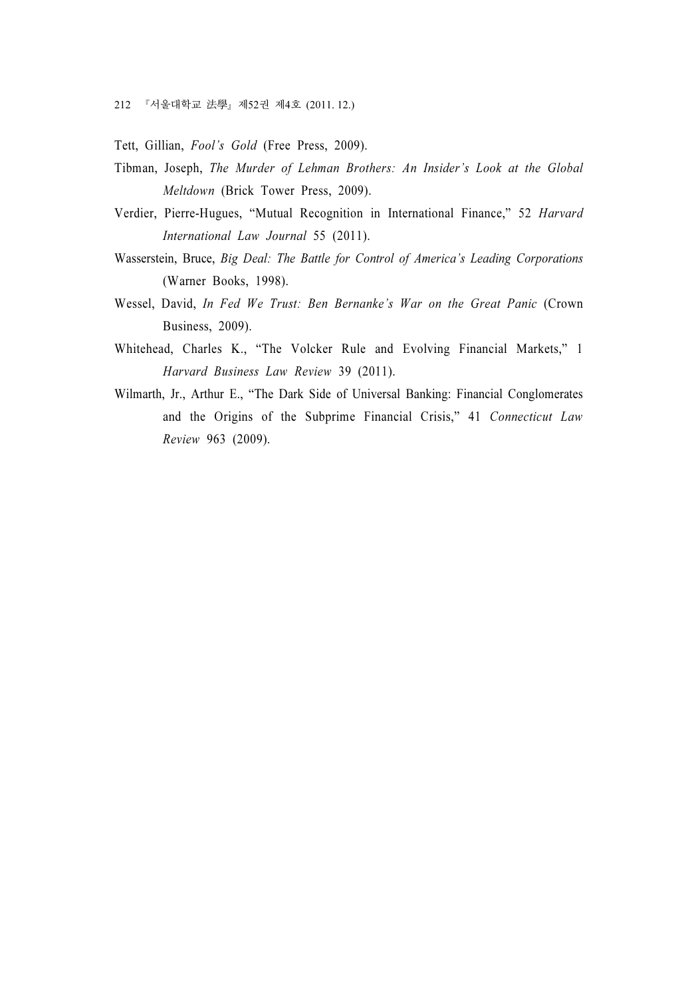Tett, Gillian, Fool's Gold (Free Press, 2009).

- Tibman, Joseph, The Murder of Lehman Brothers: An Insider's Look at the Global Meltdown (Brick Tower Press, 2009).
- Verdier, Pierre-Hugues, "Mutual Recognition in International Finance," 52 Harvard International Law Journal 55 (2011).
- Wasserstein, Bruce, Big Deal: The Battle for Control of America's Leading Corporations (Warner Books, 1998).
- Wessel, David, In Fed We Trust: Ben Bernanke's War on the Great Panic (Crown Business, 2009).
- Whitehead, Charles K., "The Volcker Rule and Evolving Financial Markets," 1 Harvard Business Law Review 39 (2011).
- Wilmarth, Jr., Arthur E., "The Dark Side of Universal Banking: Financial Conglomerates and the Origins of the Subprime Financial Crisis," 41 Connecticut Law Review 963 (2009).